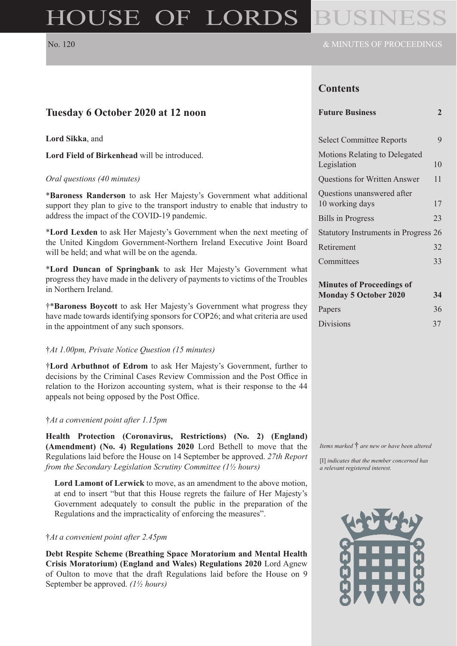# HOUSE OF LORDS

# **Contents**

| Tuesday 6 October 2020 at 12 noon                                                                                                                     | <b>Future Business</b>                                           | $\overline{2}$ |
|-------------------------------------------------------------------------------------------------------------------------------------------------------|------------------------------------------------------------------|----------------|
| Lord Sikka, and                                                                                                                                       | <b>Select Committee Reports</b>                                  | 9              |
| Lord Field of Birkenhead will be introduced.                                                                                                          | Motions Relating to Delegated<br>Legislation                     | 10             |
| Oral questions (40 minutes)                                                                                                                           | <b>Questions for Written Answer</b>                              | 11             |
| *Baroness Randerson to ask Her Majesty's Government what additional<br>support they plan to give to the transport industry to enable that industry to | Questions unanswered after<br>10 working days                    | 17             |
| address the impact of the COVID-19 pandemic.                                                                                                          | <b>Bills</b> in Progress                                         | 23             |
| *Lord Lexden to ask Her Majesty's Government when the next meeting of                                                                                 | Statutory Instruments in Progress 26                             |                |
| the United Kingdom Government-Northern Ireland Executive Joint Board<br>will be held; and what will be on the agenda.                                 | Retirement                                                       | 32             |
| *Lord Duncan of Springbank to ask Her Majesty's Government what                                                                                       | Committees                                                       | 33             |
| progress they have made in the delivery of payments to victims of the Troubles<br>in Northern Ireland.                                                | <b>Minutes of Proceedings of</b><br><b>Monday 5 October 2020</b> | 34             |
| †*Baroness Boycott to ask Her Majesty's Government what progress they                                                                                 | Papers                                                           | 36             |
| have made towards identifying sponsors for COP26; and what criteria are used<br>in the ennointment of ony such gronsors                               | <b>Divisions</b>                                                 | 37             |

in the appointment of any such sponsors.

#### †*At 1.00pm, Private Notice Question (15 minutes)*

†**Lord Arbuthnot of Edrom** to ask Her Majesty's Government, further to decisions by the Criminal Cases Review Commission and the Post Office in relation to the Horizon accounting system, what is their response to the 44 appeals not being opposed by the Post Office.

#### †*At a convenient point after 1.15pm*

**Health Protection (Coronavirus, Restrictions) (No. 2) (England) (Amendment) (No. 4) Regulations 2020** Lord Bethell to move that the Regulations laid before the House on 14 September be approved. *27th Report from the Secondary Legislation Scrutiny Committee (1½ hours)*

**Lord Lamont of Lerwick** to move, as an amendment to the above motion, at end to insert "but that this House regrets the failure of Her Majesty's Government adequately to consult the public in the preparation of the Regulations and the impracticality of enforcing the measures".

#### †*At a convenient point after 2.45pm*

**Debt Respite Scheme (Breathing Space Moratorium and Mental Health Crisis Moratorium) (England and Wales) Regulations 2020** Lord Agnew of Oulton to move that the draft Regulations laid before the House on 9 September be approved. *(1½ hours)*

*Items marked* † *are new or have been altered*

[I] *indicates that the member concerned has a relevant registered interest.*

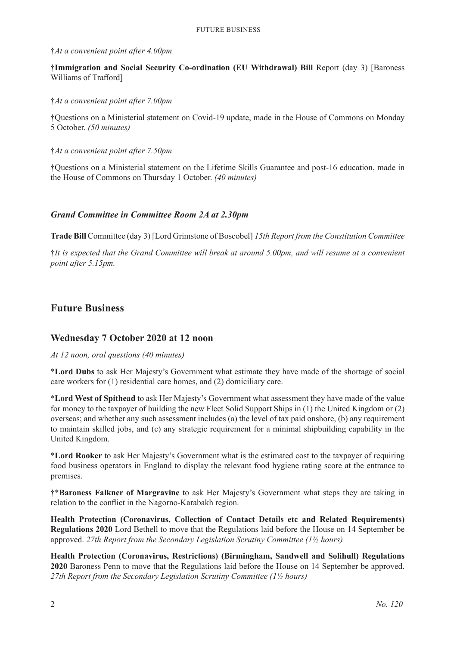#### †*At a convenient point after 4.00pm*

†**Immigration and Social Security Co-ordination (EU Withdrawal) Bill** Report (day 3) [Baroness Williams of Trafford]

#### †*At a convenient point after 7.00pm*

†Questions on a Ministerial statement on Covid-19 update, made in the House of Commons on Monday 5 October. *(50 minutes)*

#### †*At a convenient point after 7.50pm*

†Questions on a Ministerial statement on the Lifetime Skills Guarantee and post-16 education, made in the House of Commons on Thursday 1 October. *(40 minutes)*

#### *Grand Committee in Committee Room 2A at 2.30pm*

**Trade Bill** Committee (day 3) [Lord Grimstone of Boscobel] *15th Report from the Constitution Committee*

†*It is expected that the Grand Committee will break at around 5.00pm, and will resume at a convenient point after 5.15pm.*

# **Future Business**

# **Wednesday 7 October 2020 at 12 noon**

#### *At 12 noon, oral questions (40 minutes)*

\***Lord Dubs** to ask Her Majesty's Government what estimate they have made of the shortage of social care workers for (1) residential care homes, and (2) domiciliary care.

\***Lord West of Spithead** to ask Her Majesty's Government what assessment they have made of the value for money to the taxpayer of building the new Fleet Solid Support Ships in (1) the United Kingdom or (2) overseas; and whether any such assessment includes (a) the level of tax paid onshore, (b) any requirement to maintain skilled jobs, and (c) any strategic requirement for a minimal shipbuilding capability in the United Kingdom.

\***Lord Rooker** to ask Her Majesty's Government what is the estimated cost to the taxpayer of requiring food business operators in England to display the relevant food hygiene rating score at the entrance to premises.

†\***Baroness Falkner of Margravine** to ask Her Majesty's Government what steps they are taking in relation to the conflict in the Nagorno-Karabakh region.

**Health Protection (Coronavirus, Collection of Contact Details etc and Related Requirements) Regulations 2020** Lord Bethell to move that the Regulations laid before the House on 14 September be approved. *27th Report from the Secondary Legislation Scrutiny Committee (1½ hours)*

**Health Protection (Coronavirus, Restrictions) (Birmingham, Sandwell and Solihull) Regulations 2020** Baroness Penn to move that the Regulations laid before the House on 14 September be approved. *27th Report from the Secondary Legislation Scrutiny Committee (1½ hours)*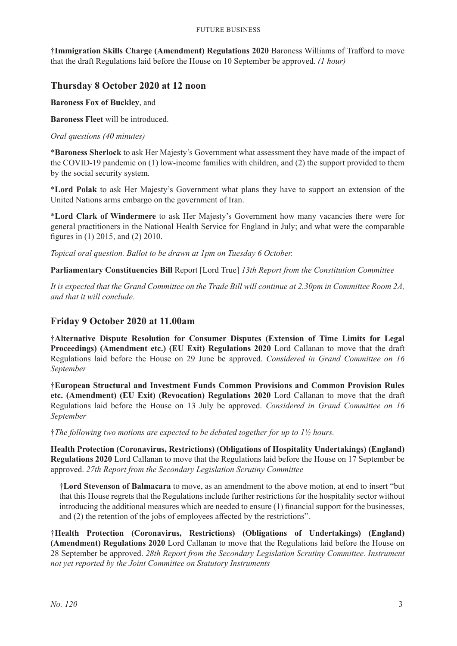†**Immigration Skills Charge (Amendment) Regulations 2020** Baroness Williams of Trafford to move that the draft Regulations laid before the House on 10 September be approved. *(1 hour)*

# **Thursday 8 October 2020 at 12 noon**

**Baroness Fox of Buckley**, and

**Baroness Fleet** will be introduced.

#### *Oral questions (40 minutes)*

\***Baroness Sherlock** to ask Her Majesty's Government what assessment they have made of the impact of the COVID-19 pandemic on (1) low-income families with children, and (2) the support provided to them by the social security system.

\***Lord Polak** to ask Her Majesty's Government what plans they have to support an extension of the United Nations arms embargo on the government of Iran.

\***Lord Clark of Windermere** to ask Her Majesty's Government how many vacancies there were for general practitioners in the National Health Service for England in July; and what were the comparable figures in (1) 2015, and (2) 2010.

*Topical oral question. Ballot to be drawn at 1pm on Tuesday 6 October.*

**Parliamentary Constituencies Bill** Report [Lord True] *13th Report from the Constitution Committee*

*It is expected that the Grand Committee on the Trade Bill will continue at 2.30pm in Committee Room 2A, and that it will conclude.*

# **Friday 9 October 2020 at 11.00am**

†**Alternative Dispute Resolution for Consumer Disputes (Extension of Time Limits for Legal Proceedings) (Amendment etc.) (EU Exit) Regulations 2020** Lord Callanan to move that the draft Regulations laid before the House on 29 June be approved. *Considered in Grand Committee on 16 September*

†**European Structural and Investment Funds Common Provisions and Common Provision Rules etc. (Amendment) (EU Exit) (Revocation) Regulations 2020** Lord Callanan to move that the draft Regulations laid before the House on 13 July be approved. *Considered in Grand Committee on 16 September*

†*The following two motions are expected to be debated together for up to 1½ hours.*

**Health Protection (Coronavirus, Restrictions) (Obligations of Hospitality Undertakings) (England) Regulations 2020** Lord Callanan to move that the Regulations laid before the House on 17 September be approved. *27th Report from the Secondary Legislation Scrutiny Committee*

†**Lord Stevenson of Balmacara** to move, as an amendment to the above motion, at end to insert "but that this House regrets that the Regulations include further restrictions for the hospitality sector without introducing the additional measures which are needed to ensure (1) financial support for the businesses, and (2) the retention of the jobs of employees affected by the restrictions".

†**Health Protection (Coronavirus, Restrictions) (Obligations of Undertakings) (England) (Amendment) Regulations 2020** Lord Callanan to move that the Regulations laid before the House on 28 September be approved. *28th Report from the Secondary Legislation Scrutiny Committee. Instrument not yet reported by the Joint Committee on Statutory Instruments*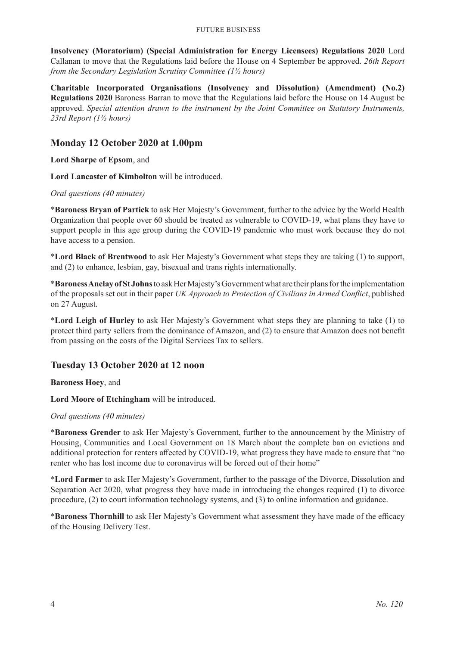**Insolvency (Moratorium) (Special Administration for Energy Licensees) Regulations 2020** Lord Callanan to move that the Regulations laid before the House on 4 September be approved. *26th Report from the Secondary Legislation Scrutiny Committee (1½ hours)*

**Charitable Incorporated Organisations (Insolvency and Dissolution) (Amendment) (No.2) Regulations 2020** Baroness Barran to move that the Regulations laid before the House on 14 August be approved. *Special attention drawn to the instrument by the Joint Committee on Statutory Instruments, 23rd Report (1½ hours)*

# **Monday 12 October 2020 at 1.00pm**

**Lord Sharpe of Epsom**, and

**Lord Lancaster of Kimbolton** will be introduced.

*Oral questions (40 minutes)*

\***Baroness Bryan of Partick** to ask Her Majesty's Government, further to the advice by the World Health Organization that people over 60 should be treated as vulnerable to COVID-19, what plans they have to support people in this age group during the COVID-19 pandemic who must work because they do not have access to a pension.

\***Lord Black of Brentwood** to ask Her Majesty's Government what steps they are taking (1) to support, and (2) to enhance, lesbian, gay, bisexual and trans rights internationally.

\***Baroness Anelay of St Johns**to ask Her Majesty's Government what are their plans for the implementation of the proposals set out in their paper *UK Approach to Protection of Civilians in Armed Conflict*, published on 27 August.

\***Lord Leigh of Hurley** to ask Her Majesty's Government what steps they are planning to take (1) to protect third party sellers from the dominance of Amazon, and (2) to ensure that Amazon does not benefit from passing on the costs of the Digital Services Tax to sellers.

# **Tuesday 13 October 2020 at 12 noon**

**Baroness Hoey**, and

**Lord Moore of Etchingham** will be introduced.

#### *Oral questions (40 minutes)*

\***Baroness Grender** to ask Her Majesty's Government, further to the announcement by the Ministry of Housing, Communities and Local Government on 18 March about the complete ban on evictions and additional protection for renters affected by COVID-19, what progress they have made to ensure that "no renter who has lost income due to coronavirus will be forced out of their home"

\***Lord Farmer** to ask Her Majesty's Government, further to the passage of the Divorce, Dissolution and Separation Act 2020, what progress they have made in introducing the changes required (1) to divorce procedure, (2) to court information technology systems, and (3) to online information and guidance.

\***Baroness Thornhill** to ask Her Majesty's Government what assessment they have made of the efficacy of the Housing Delivery Test.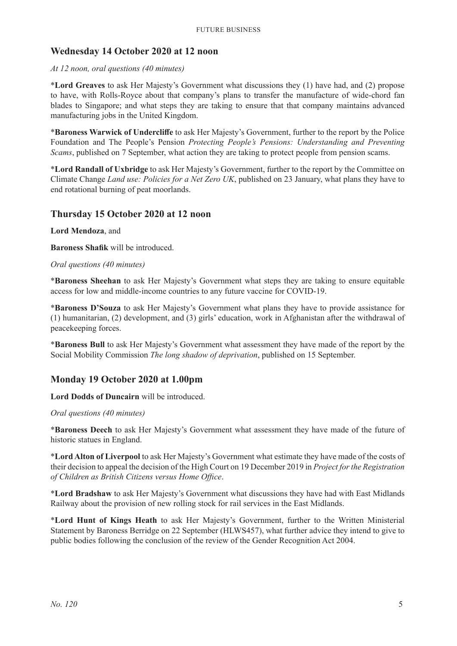# **Wednesday 14 October 2020 at 12 noon**

#### *At 12 noon, oral questions (40 minutes)*

\***Lord Greaves** to ask Her Majesty's Government what discussions they (1) have had, and (2) propose to have, with Rolls-Royce about that company's plans to transfer the manufacture of wide-chord fan blades to Singapore; and what steps they are taking to ensure that that company maintains advanced manufacturing jobs in the United Kingdom.

\***Baroness Warwick of Undercliffe** to ask Her Majesty's Government, further to the report by the Police Foundation and The People's Pension *Protecting People's Pensions: Understanding and Preventing Scams*, published on 7 September, what action they are taking to protect people from pension scams.

\***Lord Randall of Uxbridge** to ask Her Majesty's Government, further to the report by the Committee on Climate Change *Land use: Policies for a Net Zero UK*, published on 23 January, what plans they have to end rotational burning of peat moorlands.

# **Thursday 15 October 2020 at 12 noon**

**Lord Mendoza**, and

**Baroness Shafik** will be introduced.

#### *Oral questions (40 minutes)*

\***Baroness Sheehan** to ask Her Majesty's Government what steps they are taking to ensure equitable access for low and middle-income countries to any future vaccine for COVID-19.

\***Baroness D'Souza** to ask Her Majesty's Government what plans they have to provide assistance for (1) humanitarian, (2) development, and (3) girls' education, work in Afghanistan after the withdrawal of peacekeeping forces.

\***Baroness Bull** to ask Her Majesty's Government what assessment they have made of the report by the Social Mobility Commission *The long shadow of deprivation*, published on 15 September.

# **Monday 19 October 2020 at 1.00pm**

**Lord Dodds of Duncairn** will be introduced.

#### *Oral questions (40 minutes)*

\***Baroness Deech** to ask Her Majesty's Government what assessment they have made of the future of historic statues in England.

\***Lord Alton of Liverpool** to ask Her Majesty's Government what estimate they have made of the costs of their decision to appeal the decision of the High Court on 19 December 2019 in *Project for the Registration of Children as British Citizens versus Home Office*.

\***Lord Bradshaw** to ask Her Majesty's Government what discussions they have had with East Midlands Railway about the provision of new rolling stock for rail services in the East Midlands.

\***Lord Hunt of Kings Heath** to ask Her Majesty's Government, further to the Written Ministerial Statement by Baroness Berridge on 22 September (HLWS457), what further advice they intend to give to public bodies following the conclusion of the review of the Gender Recognition Act 2004.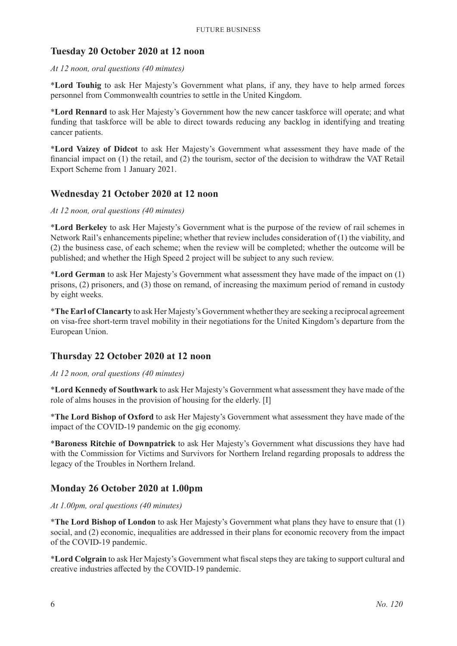# **Tuesday 20 October 2020 at 12 noon**

#### *At 12 noon, oral questions (40 minutes)*

\***Lord Touhig** to ask Her Majesty's Government what plans, if any, they have to help armed forces personnel from Commonwealth countries to settle in the United Kingdom.

\***Lord Rennard** to ask Her Majesty's Government how the new cancer taskforce will operate; and what funding that taskforce will be able to direct towards reducing any backlog in identifying and treating cancer patients.

\***Lord Vaizey of Didcot** to ask Her Majesty's Government what assessment they have made of the financial impact on (1) the retail, and (2) the tourism, sector of the decision to withdraw the VAT Retail Export Scheme from 1 January 2021.

# **Wednesday 21 October 2020 at 12 noon**

#### *At 12 noon, oral questions (40 minutes)*

\***Lord Berkeley** to ask Her Majesty's Government what is the purpose of the review of rail schemes in Network Rail's enhancements pipeline; whether that review includes consideration of (1) the viability, and (2) the business case, of each scheme; when the review will be completed; whether the outcome will be published; and whether the High Speed 2 project will be subject to any such review.

\***Lord German** to ask Her Majesty's Government what assessment they have made of the impact on (1) prisons, (2) prisoners, and (3) those on remand, of increasing the maximum period of remand in custody by eight weeks.

\***The Earl of Clancarty** to ask Her Majesty's Government whether they are seeking a reciprocal agreement on visa-free short-term travel mobility in their negotiations for the United Kingdom's departure from the European Union.

# **Thursday 22 October 2020 at 12 noon**

#### *At 12 noon, oral questions (40 minutes)*

\***Lord Kennedy of Southwark** to ask Her Majesty's Government what assessment they have made of the role of alms houses in the provision of housing for the elderly. [I]

\***The Lord Bishop of Oxford** to ask Her Majesty's Government what assessment they have made of the impact of the COVID-19 pandemic on the gig economy.

\***Baroness Ritchie of Downpatrick** to ask Her Majesty's Government what discussions they have had with the Commission for Victims and Survivors for Northern Ireland regarding proposals to address the legacy of the Troubles in Northern Ireland.

# **Monday 26 October 2020 at 1.00pm**

*At 1.00pm, oral questions (40 minutes)*

\***The Lord Bishop of London** to ask Her Majesty's Government what plans they have to ensure that (1) social, and (2) economic, inequalities are addressed in their plans for economic recovery from the impact of the COVID-19 pandemic.

\***Lord Colgrain** to ask Her Majesty's Government what fiscal steps they are taking to support cultural and creative industries affected by the COVID-19 pandemic.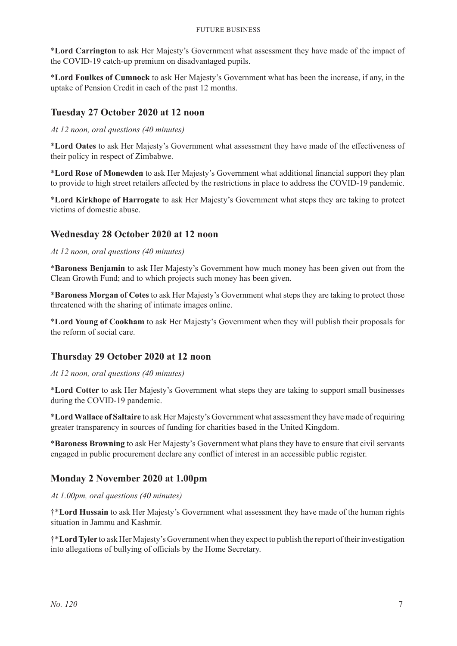\***Lord Carrington** to ask Her Majesty's Government what assessment they have made of the impact of the COVID-19 catch-up premium on disadvantaged pupils.

\***Lord Foulkes of Cumnock** to ask Her Majesty's Government what has been the increase, if any, in the uptake of Pension Credit in each of the past 12 months.

# **Tuesday 27 October 2020 at 12 noon**

*At 12 noon, oral questions (40 minutes)*

\***Lord Oates** to ask Her Majesty's Government what assessment they have made of the effectiveness of their policy in respect of Zimbabwe.

\***Lord Rose of Monewden** to ask Her Majesty's Government what additional financial support they plan to provide to high street retailers affected by the restrictions in place to address the COVID-19 pandemic.

\***Lord Kirkhope of Harrogate** to ask Her Majesty's Government what steps they are taking to protect victims of domestic abuse.

# **Wednesday 28 October 2020 at 12 noon**

*At 12 noon, oral questions (40 minutes)*

\***Baroness Benjamin** to ask Her Majesty's Government how much money has been given out from the Clean Growth Fund; and to which projects such money has been given.

\***Baroness Morgan of Cotes** to ask Her Majesty's Government what steps they are taking to protect those threatened with the sharing of intimate images online.

\***Lord Young of Cookham** to ask Her Majesty's Government when they will publish their proposals for the reform of social care.

# **Thursday 29 October 2020 at 12 noon**

#### *At 12 noon, oral questions (40 minutes)*

\***Lord Cotter** to ask Her Majesty's Government what steps they are taking to support small businesses during the COVID-19 pandemic.

\***Lord Wallace of Saltaire** to ask Her Majesty's Government what assessment they have made of requiring greater transparency in sources of funding for charities based in the United Kingdom.

\***Baroness Browning** to ask Her Majesty's Government what plans they have to ensure that civil servants engaged in public procurement declare any conflict of interest in an accessible public register.

# **Monday 2 November 2020 at 1.00pm**

*At 1.00pm, oral questions (40 minutes)*

†\***Lord Hussain** to ask Her Majesty's Government what assessment they have made of the human rights situation in Jammu and Kashmir.

†\***Lord Tyler** to ask Her Majesty's Government when they expect to publish the report of their investigation into allegations of bullying of officials by the Home Secretary.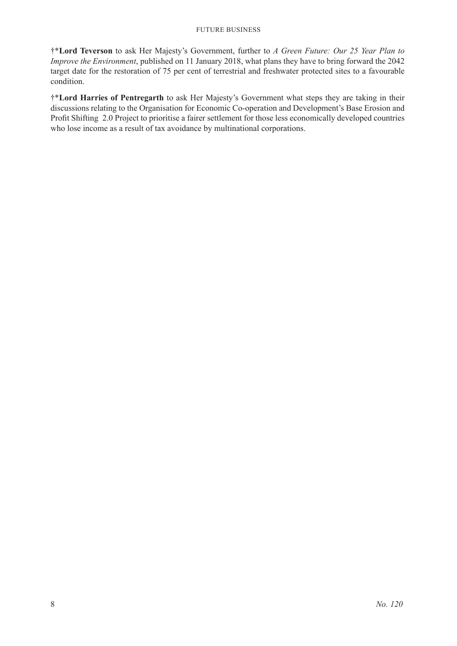†\***Lord Teverson** to ask Her Majesty's Government, further to *A Green Future: Our 25 Year Plan to Improve the Environment*, published on 11 January 2018, what plans they have to bring forward the 2042 target date for the restoration of 75 per cent of terrestrial and freshwater protected sites to a favourable condition.

†\***Lord Harries of Pentregarth** to ask Her Majesty's Government what steps they are taking in their discussions relating to the Organisation for Economic Co-operation and Development's Base Erosion and Profit Shifting 2.0 Project to prioritise a fairer settlement for those less economically developed countries who lose income as a result of tax avoidance by multinational corporations.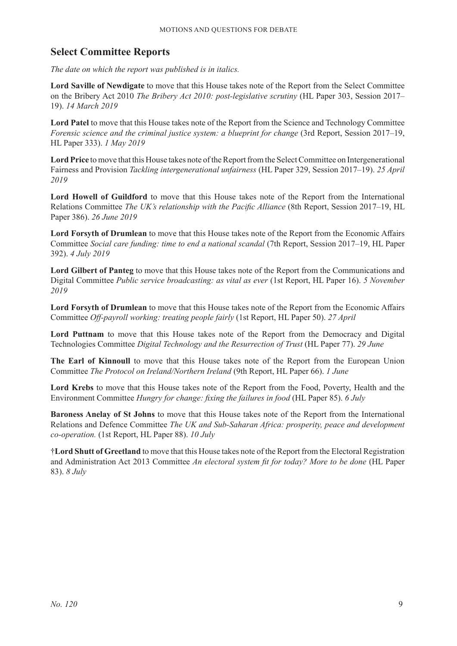# **Select Committee Reports**

*The date on which the report was published is in italics.*

**Lord Saville of Newdigate** to move that this House takes note of the Report from the Select Committee on the Bribery Act 2010 *The Bribery Act 2010: post-legislative scrutiny* (HL Paper 303, Session 2017– 19). *14 March 2019*

**Lord Patel** to move that this House takes note of the Report from the Science and Technology Committee *Forensic science and the criminal justice system: a blueprint for change* (3rd Report, Session 2017–19, HL Paper 333). *1 May 2019*

**Lord Price** to move that this House takes note of the Report from the Select Committee on Intergenerational Fairness and Provision *Tackling intergenerational unfairness* (HL Paper 329, Session 2017–19). *25 April 2019*

**Lord Howell of Guildford** to move that this House takes note of the Report from the International Relations Committee *The UK's relationship with the Pacific Alliance* (8th Report, Session 2017–19, HL Paper 386). *26 June 2019*

**Lord Forsyth of Drumlean** to move that this House takes note of the Report from the Economic Affairs Committee *Social care funding: time to end a national scandal* (7th Report, Session 2017–19, HL Paper 392). *4 July 2019*

**Lord Gilbert of Panteg** to move that this House takes note of the Report from the Communications and Digital Committee *Public service broadcasting: as vital as ever* (1st Report, HL Paper 16). *5 November 2019*

**Lord Forsyth of Drumlean** to move that this House takes note of the Report from the Economic Affairs Committee *Off-payroll working: treating people fairly* (1st Report, HL Paper 50). *27 April*

**Lord Puttnam** to move that this House takes note of the Report from the Democracy and Digital Technologies Committee *Digital Technology and the Resurrection of Trust* (HL Paper 77). *29 June*

**The Earl of Kinnoull** to move that this House takes note of the Report from the European Union Committee *The Protocol on Ireland/Northern Ireland* (9th Report, HL Paper 66). *1 June*

**Lord Krebs** to move that this House takes note of the Report from the Food, Poverty, Health and the Environment Committee *Hungry for change: fixing the failures in food* (HL Paper 85). *6 July*

**Baroness Anelay of St Johns** to move that this House takes note of the Report from the International Relations and Defence Committee *The UK and Sub-Saharan Africa: prosperity, peace and development co-operation.* (1st Report, HL Paper 88). *10 July*

†**Lord Shutt of Greetland** to move that this House takes note of the Report from the Electoral Registration and Administration Act 2013 Committee *An electoral system fit for today? More to be done* (HL Paper 83). *8 July*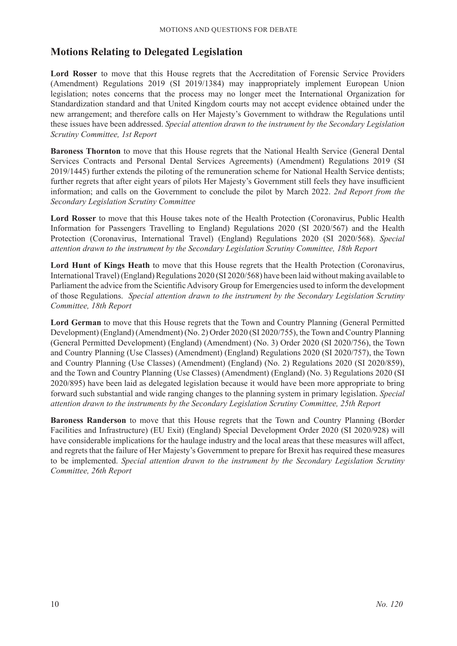# **Motions Relating to Delegated Legislation**

**Lord Rosser** to move that this House regrets that the Accreditation of Forensic Service Providers (Amendment) Regulations 2019 (SI 2019/1384) may inappropriately implement European Union legislation; notes concerns that the process may no longer meet the International Organization for Standardization standard and that United Kingdom courts may not accept evidence obtained under the new arrangement; and therefore calls on Her Majesty's Government to withdraw the Regulations until these issues have been addressed. *Special attention drawn to the instrument by the Secondary Legislation Scrutiny Committee, 1st Report*

**Baroness Thornton** to move that this House regrets that the National Health Service (General Dental Services Contracts and Personal Dental Services Agreements) (Amendment) Regulations 2019 (SI 2019/1445) further extends the piloting of the remuneration scheme for National Health Service dentists; further regrets that after eight years of pilots Her Majesty's Government still feels they have insufficient information; and calls on the Government to conclude the pilot by March 2022. *2nd Report from the Secondary Legislation Scrutiny Committee*

**Lord Rosser** to move that this House takes note of the Health Protection (Coronavirus, Public Health Information for Passengers Travelling to England) Regulations 2020 (SI 2020/567) and the Health Protection (Coronavirus, International Travel) (England) Regulations 2020 (SI 2020/568). *Special attention drawn to the instrument by the Secondary Legislation Scrutiny Committee, 18th Report*

Lord Hunt of Kings Heath to move that this House regrets that the Health Protection (Coronavirus, International Travel) (England) Regulations 2020 (SI 2020/568) have been laid without making available to Parliament the advice from the Scientific Advisory Group for Emergencies used to inform the development of those Regulations. *Special attention drawn to the instrument by the Secondary Legislation Scrutiny Committee, 18th Report*

**Lord German** to move that this House regrets that the Town and Country Planning (General Permitted Development) (England) (Amendment) (No. 2) Order 2020 (SI 2020/755), the Town and Country Planning (General Permitted Development) (England) (Amendment) (No. 3) Order 2020 (SI 2020/756), the Town and Country Planning (Use Classes) (Amendment) (England) Regulations 2020 (SI 2020/757), the Town and Country Planning (Use Classes) (Amendment) (England) (No. 2) Regulations 2020 (SI 2020/859), and the Town and Country Planning (Use Classes) (Amendment) (England) (No. 3) Regulations 2020 (SI 2020/895) have been laid as delegated legislation because it would have been more appropriate to bring forward such substantial and wide ranging changes to the planning system in primary legislation. *Special attention drawn to the instruments by the Secondary Legislation Scrutiny Committee, 25th Report*

**Baroness Randerson** to move that this House regrets that the Town and Country Planning (Border Facilities and Infrastructure) (EU Exit) (England) Special Development Order 2020 (SI 2020/928) will have considerable implications for the haulage industry and the local areas that these measures will affect, and regrets that the failure of Her Majesty's Government to prepare for Brexit has required these measures to be implemented. *Special attention drawn to the instrument by the Secondary Legislation Scrutiny Committee, 26th Report*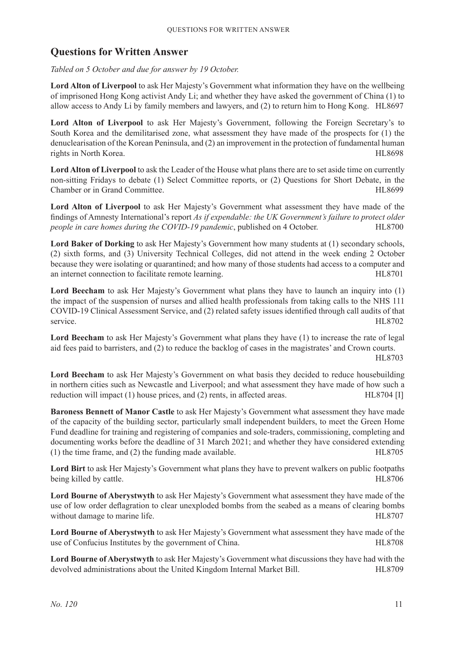# **Questions for Written Answer**

*Tabled on 5 October and due for answer by 19 October.*

**Lord Alton of Liverpool** to ask Her Majesty's Government what information they have on the wellbeing of imprisoned Hong Kong activist Andy Li; and whether they have asked the government of China (1) to allow access to Andy Li by family members and lawyers, and (2) to return him to Hong Kong. HL8697

**Lord Alton of Liverpool** to ask Her Majesty's Government, following the Foreign Secretary's to South Korea and the demilitarised zone, what assessment they have made of the prospects for (1) the denuclearisation of the Korean Peninsula, and (2) an improvement in the protection of fundamental human rights in North Korea. HL8698

**Lord Alton of Liverpool** to ask the Leader of the House what plans there are to set aside time on currently non-sitting Fridays to debate (1) Select Committee reports, or (2) Questions for Short Debate, in the Chamber or in Grand Committee. HL8699

Lord Alton of Liverpool to ask Her Majesty's Government what assessment they have made of the findings of Amnesty International's report *As if expendable: the UK Government's failure to protect older people in care homes during the COVID-19 pandemic*, published on 4 October. HL8700

**Lord Baker of Dorking** to ask Her Majesty's Government how many students at (1) secondary schools, (2) sixth forms, and (3) University Technical Colleges, did not attend in the week ending 2 October because they were isolating or quarantined; and how many of those students had access to a computer and an internet connection to facilitate remote learning. HL8701

**Lord Beecham** to ask Her Majesty's Government what plans they have to launch an inquiry into (1) the impact of the suspension of nurses and allied health professionals from taking calls to the NHS 111 COVID-19 Clinical Assessment Service, and (2) related safety issues identified through call audits of that service. HL8702

**Lord Beecham** to ask Her Majesty's Government what plans they have (1) to increase the rate of legal aid fees paid to barristers, and (2) to reduce the backlog of cases in the magistrates' and Crown courts. HL8703

**Lord Beecham** to ask Her Majesty's Government on what basis they decided to reduce housebuilding in northern cities such as Newcastle and Liverpool; and what assessment they have made of how such a reduction will impact (1) house prices, and (2) rents, in affected areas. HL8704 [I]

**Baroness Bennett of Manor Castle** to ask Her Majesty's Government what assessment they have made of the capacity of the building sector, particularly small independent builders, to meet the Green Home Fund deadline for training and registering of companies and sole-traders, commissioning, completing and documenting works before the deadline of 31 March 2021; and whether they have considered extending (1) the time frame, and (2) the funding made available. HL8705

**Lord Birt** to ask Her Majesty's Government what plans they have to prevent walkers on public footpaths being killed by cattle. HL8706

**Lord Bourne of Aberystwyth** to ask Her Majesty's Government what assessment they have made of the use of low order deflagration to clear unexploded bombs from the seabed as a means of clearing bombs without damage to marine life. HL8707

**Lord Bourne of Aberystwyth** to ask Her Majesty's Government what assessment they have made of the use of Confucius Institutes by the government of China. HL8708

**Lord Bourne of Aberystwyth** to ask Her Majesty's Government what discussions they have had with the devolved administrations about the United Kingdom Internal Market Bill. HL8709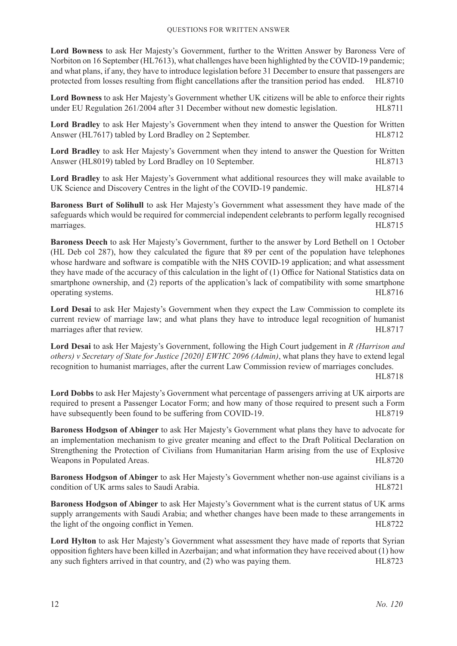**Lord Bowness** to ask Her Majesty's Government, further to the Written Answer by Baroness Vere of Norbiton on 16 September (HL7613), what challenges have been highlighted by the COVID-19 pandemic; and what plans, if any, they have to introduce legislation before 31 December to ensure that passengers are protected from losses resulting from flight cancellations after the transition period has ended. HL8710

**Lord Bowness** to ask Her Majesty's Government whether UK citizens will be able to enforce their rights under EU Regulation 261/2004 after 31 December without new domestic legislation. HL8711

**Lord Bradley** to ask Her Majesty's Government when they intend to answer the Question for Written Answer (HL7617) tabled by Lord Bradley on 2 September. HL8712

**Lord Bradley** to ask Her Majesty's Government when they intend to answer the Question for Written Answer (HL8019) tabled by Lord Bradley on 10 September. HL8713

**Lord Bradley** to ask Her Majesty's Government what additional resources they will make available to UK Science and Discovery Centres in the light of the COVID-19 pandemic. HL8714

**Baroness Burt of Solihull** to ask Her Majesty's Government what assessment they have made of the safeguards which would be required for commercial independent celebrants to perform legally recognised marriages. HL8715

**Baroness Deech** to ask Her Majesty's Government, further to the answer by Lord Bethell on 1 October (HL Deb col 287), how they calculated the figure that 89 per cent of the population have telephones whose hardware and software is compatible with the NHS COVID-19 application; and what assessment they have made of the accuracy of this calculation in the light of (1) Office for National Statistics data on smartphone ownership, and (2) reports of the application's lack of compatibility with some smartphone operating systems. HL8716

**Lord Desai** to ask Her Majesty's Government when they expect the Law Commission to complete its current review of marriage law; and what plans they have to introduce legal recognition of humanist marriages after that review. HL8717

**Lord Desai** to ask Her Majesty's Government, following the High Court judgement in *R (Harrison and others) v Secretary of State for Justice [2020] EWHC 2096 (Admin)*, what plans they have to extend legal recognition to humanist marriages, after the current Law Commission review of marriages concludes.

HL8718

**Lord Dobbs** to ask Her Majesty's Government what percentage of passengers arriving at UK airports are required to present a Passenger Locator Form; and how many of those required to present such a Form have subsequently been found to be suffering from COVID-19. HL8719

**Baroness Hodgson of Abinger** to ask Her Majesty's Government what plans they have to advocate for an implementation mechanism to give greater meaning and effect to the Draft Political Declaration on Strengthening the Protection of Civilians from Humanitarian Harm arising from the use of Explosive Weapons in Populated Areas. HL8720

**Baroness Hodgson of Abinger** to ask Her Majesty's Government whether non-use against civilians is a condition of UK arms sales to Saudi Arabia. HL8721

**Baroness Hodgson of Abinger** to ask Her Majesty's Government what is the current status of UK arms supply arrangements with Saudi Arabia; and whether changes have been made to these arrangements in the light of the ongoing conflict in Yemen. 
HL8722

Lord Hylton to ask Her Majesty's Government what assessment they have made of reports that Syrian opposition fighters have been killed in Azerbaijan; and what information they have received about (1) how any such fighters arrived in that country, and (2) who was paying them. HL8723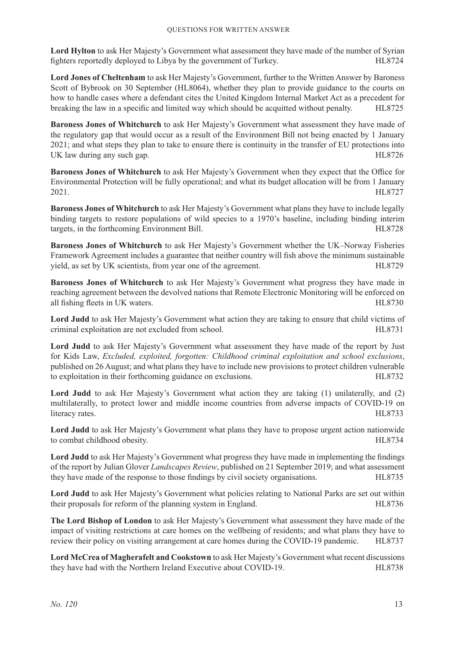**Lord Hylton** to ask Her Majesty's Government what assessment they have made of the number of Syrian fighters reportedly deployed to Libya by the government of Turkey. HL8724

**Lord Jones of Cheltenham** to ask Her Majesty's Government, further to the Written Answer by Baroness Scott of Bybrook on 30 September (HL8064), whether they plan to provide guidance to the courts on how to handle cases where a defendant cites the United Kingdom Internal Market Act as a precedent for breaking the law in a specific and limited way which should be acquitted without penalty. HL8725

**Baroness Jones of Whitchurch** to ask Her Majesty's Government what assessment they have made of the regulatory gap that would occur as a result of the Environment Bill not being enacted by 1 January 2021; and what steps they plan to take to ensure there is continuity in the transfer of EU protections into UK law during any such gap. HL8726

**Baroness Jones of Whitchurch** to ask Her Majesty's Government when they expect that the Office for Environmental Protection will be fully operational; and what its budget allocation will be from 1 January 2021. HL8727

**Baroness Jones of Whitchurch** to ask Her Majesty's Government what plans they have to include legally binding targets to restore populations of wild species to a 1970's baseline, including binding interim targets, in the forthcoming Environment Bill. HL8728

**Baroness Jones of Whitchurch** to ask Her Majesty's Government whether the UK–Norway Fisheries Framework Agreement includes a guarantee that neither country will fish above the minimum sustainable yield, as set by UK scientists, from year one of the agreement. HL8729

**Baroness Jones of Whitchurch** to ask Her Majesty's Government what progress they have made in reaching agreement between the devolved nations that Remote Electronic Monitoring will be enforced on all fishing fleets in UK waters. HL8730

**Lord Judd** to ask Her Majesty's Government what action they are taking to ensure that child victims of criminal exploitation are not excluded from school. HL8731

**Lord Judd** to ask Her Majesty's Government what assessment they have made of the report by Just for Kids Law, *Excluded, exploited, forgotten: Childhood criminal exploitation and school exclusions*, published on 26 August; and what plans they have to include new provisions to protect children vulnerable to exploitation in their forthcoming guidance on exclusions. HL8732

**Lord Judd** to ask Her Majesty's Government what action they are taking (1) unilaterally, and (2) multilaterally, to protect lower and middle income countries from adverse impacts of COVID-19 on literacy rates. HL8733

**Lord Judd** to ask Her Majesty's Government what plans they have to propose urgent action nationwide to combat childhood obesity. HL8734

**Lord Judd** to ask Her Majesty's Government what progress they have made in implementing the findings of the report by Julian Glover *Landscapes Review*, published on 21 September 2019; and what assessment they have made of the response to those findings by civil society organisations. HL8735

**Lord Judd** to ask Her Majesty's Government what policies relating to National Parks are set out within their proposals for reform of the planning system in England. HL8736

**The Lord Bishop of London** to ask Her Majesty's Government what assessment they have made of the impact of visiting restrictions at care homes on the wellbeing of residents; and what plans they have to review their policy on visiting arrangement at care homes during the COVID-19 pandemic. HL8737

**Lord McCrea of Magherafelt and Cookstown** to ask Her Majesty's Government what recent discussions they have had with the Northern Ireland Executive about COVID-19. HL8738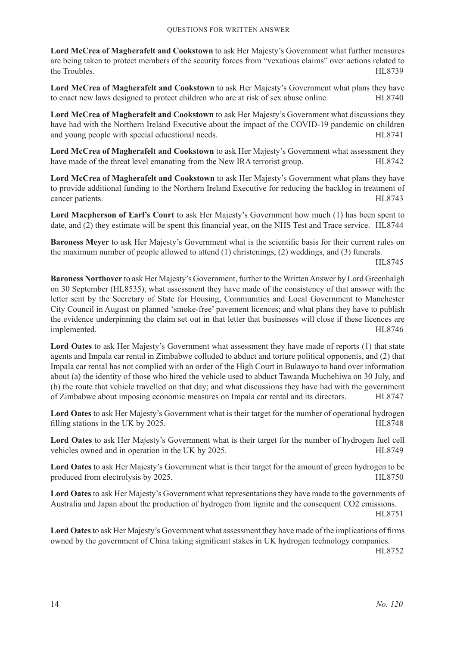**Lord McCrea of Magherafelt and Cookstown** to ask Her Majesty's Government what further measures are being taken to protect members of the security forces from "vexatious claims" over actions related to the Troubles. HL8739

**Lord McCrea of Magherafelt and Cookstown** to ask Her Majesty's Government what plans they have to enact new laws designed to protect children who are at risk of sex abuse online. HL8740

**Lord McCrea of Magherafelt and Cookstown** to ask Her Majesty's Government what discussions they have had with the Northern Ireland Executive about the impact of the COVID-19 pandemic on children and young people with special educational needs. HL8741

**Lord McCrea of Magherafelt and Cookstown** to ask Her Majesty's Government what assessment they have made of the threat level emanating from the New IRA terrorist group.

**Lord McCrea of Magherafelt and Cookstown** to ask Her Majesty's Government what plans they have to provide additional funding to the Northern Ireland Executive for reducing the backlog in treatment of cancer patients. HL8743

**Lord Macpherson of Earl's Court** to ask Her Majesty's Government how much (1) has been spent to date, and (2) they estimate will be spent this financial year, on the NHS Test and Trace service. HL8744

**Baroness Meyer** to ask Her Majesty's Government what is the scientific basis for their current rules on the maximum number of people allowed to attend (1) christenings, (2) weddings, and (3) funerals.

HL8745

**Baroness Northover** to ask Her Majesty's Government, further to the Written Answer by Lord Greenhalgh on 30 September (HL8535), what assessment they have made of the consistency of that answer with the letter sent by the Secretary of State for Housing, Communities and Local Government to Manchester City Council in August on planned 'smoke-free' pavement licences; and what plans they have to publish the evidence underpinning the claim set out in that letter that businesses will close if these licences are implemented. HL8746

**Lord Oates** to ask Her Majesty's Government what assessment they have made of reports (1) that state agents and Impala car rental in Zimbabwe colluded to abduct and torture political opponents, and (2) that Impala car rental has not complied with an order of the High Court in Bulawayo to hand over information about (a) the identity of those who hired the vehicle used to abduct Tawanda Muchehiwa on 30 July, and (b) the route that vehicle travelled on that day; and what discussions they have had with the government of Zimbabwe about imposing economic measures on Impala car rental and its directors. HL8747

**Lord Oates** to ask Her Majesty's Government what is their target for the number of operational hydrogen filling stations in the UK by 2025. HL8748

**Lord Oates** to ask Her Majesty's Government what is their target for the number of hydrogen fuel cell vehicles owned and in operation in the UK by 2025.

**Lord Oates** to ask Her Majesty's Government what is their target for the amount of green hydrogen to be produced from electrolysis by 2025. HL8750

**Lord Oates** to ask Her Majesty's Government what representations they have made to the governments of Australia and Japan about the production of hydrogen from lignite and the consequent CO2 emissions.

HL8751

**Lord Oates** to ask Her Majesty's Government what assessment they have made of the implications of firms owned by the government of China taking significant stakes in UK hydrogen technology companies.

HL8752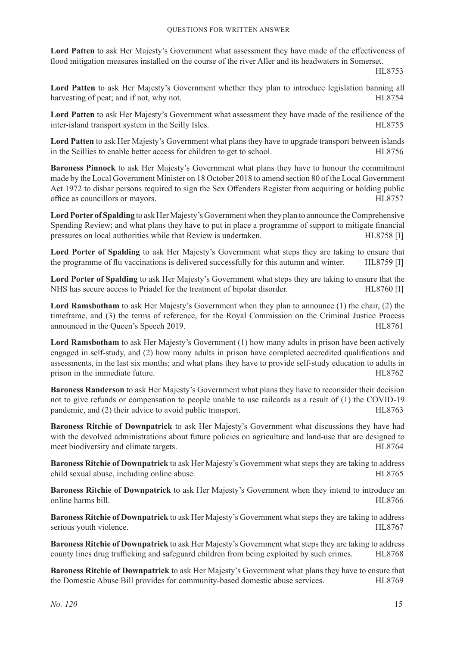**Lord Patten** to ask Her Majesty's Government what assessment they have made of the effectiveness of flood mitigation measures installed on the course of the river Aller and its headwaters in Somerset.

HL8753

**Lord Patten** to ask Her Majesty's Government whether they plan to introduce legislation banning all harvesting of peat; and if not, why not. HL8754

**Lord Patten** to ask Her Majesty's Government what assessment they have made of the resilience of the inter-island transport system in the Scilly Isles. The Science of the Science of the State of the State of the State of the State of the State of the State of the State of the State of the State of the State of the State o

**Lord Patten** to ask Her Majesty's Government what plans they have to upgrade transport between islands in the Scillies to enable better access for children to get to school. HL8756

**Baroness Pinnock** to ask Her Majesty's Government what plans they have to honour the commitment made by the Local Government Minister on 18 October 2018 to amend section 80 of the Local Government Act 1972 to disbar persons required to sign the Sex Offenders Register from acquiring or holding public office as councillors or mayors. HL8757

**Lord Porter of Spalding** to ask Her Majesty's Government when they plan to announce the Comprehensive Spending Review; and what plans they have to put in place a programme of support to mitigate financial pressures on local authorities while that Review is undertaken. HL8758 [I]

**Lord Porter of Spalding** to ask Her Majesty's Government what steps they are taking to ensure that the programme of flu vaccinations is delivered successfully for this autumn and winter. HL8759 [I]

**Lord Porter of Spalding** to ask Her Majesty's Government what steps they are taking to ensure that the NHS has secure access to Priadel for the treatment of bipolar disorder. HL8760 [I]

**Lord Ramsbotham** to ask Her Majesty's Government when they plan to announce (1) the chair, (2) the timeframe, and (3) the terms of reference, for the Royal Commission on the Criminal Justice Process announced in the Queen's Speech 2019. HL8761

**Lord Ramsbotham** to ask Her Majesty's Government (1) how many adults in prison have been actively engaged in self-study, and (2) how many adults in prison have completed accredited qualifications and assessments, in the last six months; and what plans they have to provide self-study education to adults in prison in the immediate future. HL8762

**Baroness Randerson** to ask Her Majesty's Government what plans they have to reconsider their decision not to give refunds or compensation to people unable to use railcards as a result of (1) the COVID-19 pandemic, and (2) their advice to avoid public transport. HL8763

**Baroness Ritchie of Downpatrick** to ask Her Majesty's Government what discussions they have had with the devolved administrations about future policies on agriculture and land-use that are designed to meet biodiversity and climate targets. HL8764

**Baroness Ritchie of Downpatrick** to ask Her Majesty's Government what stepsthey are taking to address child sexual abuse, including online abuse. HL8765

**Baroness Ritchie of Downpatrick** to ask Her Majesty's Government when they intend to introduce an online harms bill. HL8766

**Baroness Ritchie of Downpatrick** to ask Her Majesty's Government what steps they are taking to address serious youth violence. HL8767

**Baroness Ritchie of Downpatrick** to ask Her Majesty's Government what steps they are taking to address county lines drug trafficking and safeguard children from being exploited by such crimes. HL8768

**Baroness Ritchie of Downpatrick** to ask Her Majesty's Government what plans they have to ensure that the Domestic Abuse Bill provides for community-based domestic abuse services. HL8769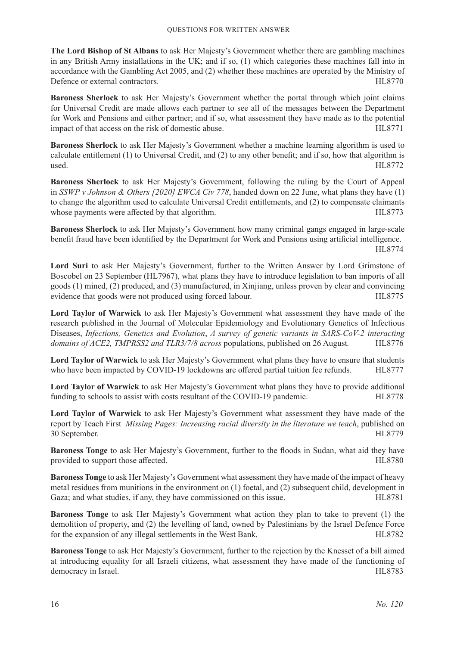**The Lord Bishop of St Albans** to ask Her Majesty's Government whether there are gambling machines in any British Army installations in the UK; and if so, (1) which categories these machines fall into in accordance with the Gambling Act 2005, and (2) whether these machines are operated by the Ministry of Defence or external contractors. HL8770

**Baroness Sherlock** to ask Her Majesty's Government whether the portal through which joint claims for Universal Credit are made allows each partner to see all of the messages between the Department for Work and Pensions and either partner; and if so, what assessment they have made as to the potential impact of that access on the risk of domestic abuse. HL8771

**Baroness Sherlock** to ask Her Majesty's Government whether a machine learning algorithm is used to calculate entitlement (1) to Universal Credit, and (2) to any other benefit; and if so, how that algorithm is used. HL8772

**Baroness Sherlock** to ask Her Majesty's Government, following the ruling by the Court of Appeal in *SSWP v Johnson & Others [2020] EWCA Civ 778*, handed down on 22 June, what plans they have (1) to change the algorithm used to calculate Universal Credit entitlements, and (2) to compensate claimants whose payments were affected by that algorithm. HL8773

**Baroness Sherlock** to ask Her Majesty's Government how many criminal gangs engaged in large-scale benefit fraud have been identified by the Department for Work and Pensions using artificial intelligence. HL8774

**Lord Suri** to ask Her Majesty's Government, further to the Written Answer by Lord Grimstone of Boscobel on 23 September (HL7967), what plans they have to introduce legislation to ban imports of all goods (1) mined, (2) produced, and (3) manufactured, in Xinjiang, unless proven by clear and convincing evidence that goods were not produced using forced labour. HL8775

**Lord Taylor of Warwick** to ask Her Majesty's Government what assessment they have made of the research published in the Journal of Molecular Epidemiology and Evolutionary Genetics of Infectious Diseases, *Infections, Genetics and Evolution*, *A survey of genetic variants in SARS-CoV-2 interacting domains of ACE2, TMPRSS2 and TLR3/7/8 across populations, published on 26 August.* HL8776

**Lord Taylor of Warwick** to ask Her Majesty's Government what plans they have to ensure that students who have been impacted by COVID-19 lockdowns are offered partial tuition fee refunds. HL8777

**Lord Taylor of Warwick** to ask Her Majesty's Government what plans they have to provide additional funding to schools to assist with costs resultant of the COVID-19 pandemic. HL8778

**Lord Taylor of Warwick** to ask Her Majesty's Government what assessment they have made of the report by Teach First *Missing Pages: Increasing racial diversity in the literature we teach*, published on 30 September. HL8779

**Baroness Tonge** to ask Her Majesty's Government, further to the floods in Sudan, what aid they have provided to support those affected. HL8780

**Baroness Tonge** to ask Her Majesty's Government what assessment they have made of the impact of heavy metal residues from munitions in the environment on (1) foetal, and (2) subsequent child, development in Gaza; and what studies, if any, they have commissioned on this issue. HL8781

**Baroness Tonge** to ask Her Majesty's Government what action they plan to take to prevent (1) the demolition of property, and (2) the levelling of land, owned by Palestinians by the Israel Defence Force for the expansion of any illegal settlements in the West Bank. HEST82

**Baroness Tonge** to ask Her Majesty's Government, further to the rejection by the Knesset of a bill aimed at introducing equality for all Israeli citizens, what assessment they have made of the functioning of democracy in Israel. HL8783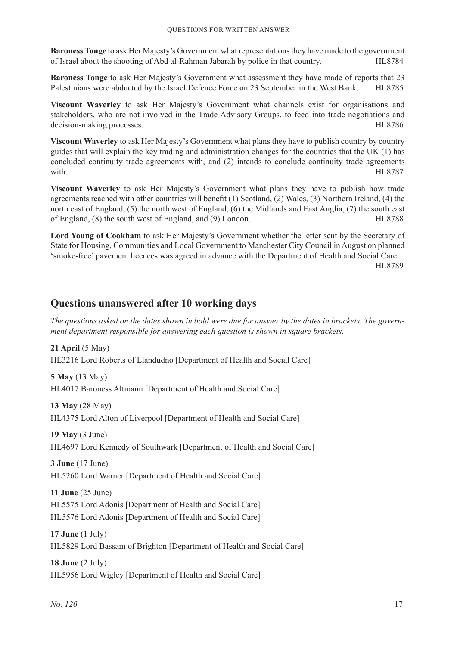**Baroness Tonge** to ask Her Majesty's Government what representations they have made to the government of Israel about the shooting of Abd al-Rahman Jabarah by police in that country. HL8784

**Baroness Tonge** to ask Her Majesty's Government what assessment they have made of reports that 23 Palestinians were abducted by the Israel Defence Force on 23 September in the West Bank. HL8785

**Viscount Waverley** to ask Her Majesty's Government what channels exist for organisations and stakeholders, who are not involved in the Trade Advisory Groups, to feed into trade negotiations and decision-making processes. HL8786

**Viscount Waverley** to ask Her Majesty's Government what plans they have to publish country by country guides that will explain the key trading and administration changes for the countries that the UK (1) has concluded continuity trade agreements with, and (2) intends to conclude continuity trade agreements with. HL8787

**Viscount Waverley** to ask Her Majesty's Government what plans they have to publish how trade agreements reached with other countries will benefit (1) Scotland, (2) Wales, (3) Northern Ireland, (4) the north east of England, (5) the north west of England, (6) the Midlands and East Anglia, (7) the south east of England, (8) the south west of England, and (9) London. HL8788

**Lord Young of Cookham** to ask Her Majesty's Government whether the letter sent by the Secretary of State for Housing, Communities and Local Government to Manchester City Council in August on planned 'smoke-free' pavement licences was agreed in advance with the Department of Health and Social Care.

HL8789

# **Questions unanswered after 10 working days**

*The questions asked on the dates shown in bold were due for answer by the dates in brackets. The government department responsible for answering each question is shown in square brackets.*

**21 April** (5 May) HL3216 Lord Roberts of Llandudno [Department of Health and Social Care]

**5 May** (13 May) HL4017 Baroness Altmann [Department of Health and Social Care]

**13 May** (28 May) HL4375 Lord Alton of Liverpool [Department of Health and Social Care]

**19 May** (3 June)

HL4697 Lord Kennedy of Southwark [Department of Health and Social Care]

**3 June** (17 June) HL5260 Lord Warner [Department of Health and Social Care]

**11 June** (25 June) HL5575 Lord Adonis [Department of Health and Social Care] HL5576 Lord Adonis [Department of Health and Social Care]

**17 June** (1 July) HL5829 Lord Bassam of Brighton [Department of Health and Social Care]

**18 June** (2 July) HL5956 Lord Wigley [Department of Health and Social Care]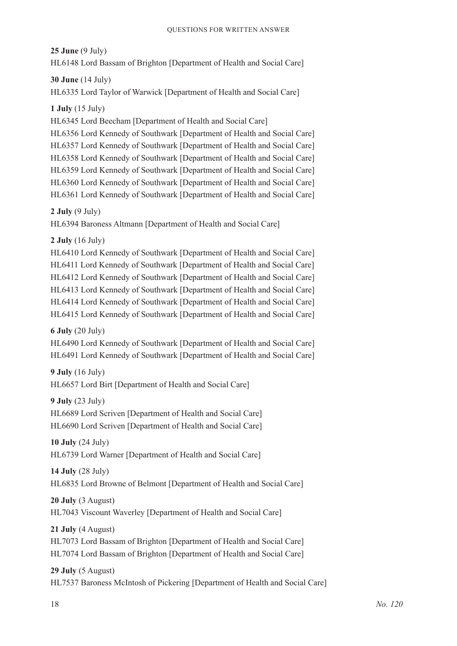**25 June** (9 July)

HL6148 Lord Bassam of Brighton [Department of Health and Social Care]

**30 June** (14 July)

HL6335 Lord Taylor of Warwick [Department of Health and Social Care]

**1 July** (15 July)

HL6345 Lord Beecham [Department of Health and Social Care]

HL6356 Lord Kennedy of Southwark [Department of Health and Social Care] HL6357 Lord Kennedy of Southwark [Department of Health and Social Care] HL6358 Lord Kennedy of Southwark [Department of Health and Social Care] HL6359 Lord Kennedy of Southwark [Department of Health and Social Care] HL6360 Lord Kennedy of Southwark [Department of Health and Social Care] HL6361 Lord Kennedy of Southwark [Department of Health and Social Care]

**2 July** (9 July)

HL6394 Baroness Altmann [Department of Health and Social Care]

**2 July** (16 July)

HL6410 Lord Kennedy of Southwark [Department of Health and Social Care] HL6411 Lord Kennedy of Southwark [Department of Health and Social Care] HL6412 Lord Kennedy of Southwark [Department of Health and Social Care] HL6413 Lord Kennedy of Southwark [Department of Health and Social Care] HL6414 Lord Kennedy of Southwark [Department of Health and Social Care] HL6415 Lord Kennedy of Southwark [Department of Health and Social Care]

**6 July** (20 July)

HL6490 Lord Kennedy of Southwark [Department of Health and Social Care] HL6491 Lord Kennedy of Southwark [Department of Health and Social Care]

**9 July** (16 July)

HL6657 Lord Birt [Department of Health and Social Care]

**9 July** (23 July)

HL6689 Lord Scriven [Department of Health and Social Care] HL6690 Lord Scriven [Department of Health and Social Care]

**10 July** (24 July) HL6739 Lord Warner [Department of Health and Social Care]

**14 July** (28 July)

HL6835 Lord Browne of Belmont [Department of Health and Social Care]

**20 July** (3 August) HL7043 Viscount Waverley [Department of Health and Social Care]

**21 July** (4 August) HL7073 Lord Bassam of Brighton [Department of Health and Social Care] HL7074 Lord Bassam of Brighton [Department of Health and Social Care]

**29 July** (5 August)

HL7537 Baroness McIntosh of Pickering [Department of Health and Social Care]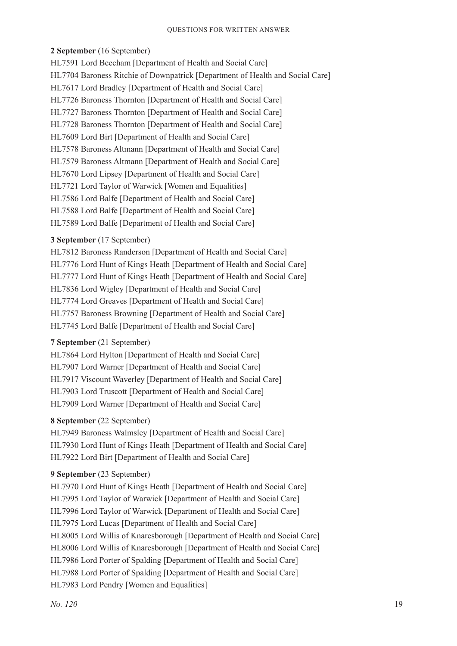#### **2 September** (16 September)

HL7591 Lord Beecham [Department of Health and Social Care] HL7704 Baroness Ritchie of Downpatrick [Department of Health and Social Care] HL7617 Lord Bradley [Department of Health and Social Care] HL7726 Baroness Thornton [Department of Health and Social Care] HL7727 Baroness Thornton [Department of Health and Social Care] HL7728 Baroness Thornton [Department of Health and Social Care] HL7609 Lord Birt [Department of Health and Social Care] HL7578 Baroness Altmann [Department of Health and Social Care] HL7579 Baroness Altmann [Department of Health and Social Care] HL7670 Lord Lipsey [Department of Health and Social Care] HL7721 Lord Taylor of Warwick [Women and Equalities] HL7586 Lord Balfe [Department of Health and Social Care] HL7588 Lord Balfe [Department of Health and Social Care] HL7589 Lord Balfe [Department of Health and Social Care]

# **3 September** (17 September)

HL7812 Baroness Randerson [Department of Health and Social Care] HL7776 Lord Hunt of Kings Heath [Department of Health and Social Care] HL7777 Lord Hunt of Kings Heath [Department of Health and Social Care] HL7836 Lord Wigley [Department of Health and Social Care] HL7774 Lord Greaves [Department of Health and Social Care] HL7757 Baroness Browning [Department of Health and Social Care] HL7745 Lord Balfe [Department of Health and Social Care]

# **7 September** (21 September)

HL7864 Lord Hylton [Department of Health and Social Care] HL7907 Lord Warner [Department of Health and Social Care] HL7917 Viscount Waverley [Department of Health and Social Care] HL7903 Lord Truscott [Department of Health and Social Care] HL7909 Lord Warner [Department of Health and Social Care]

# **8 September** (22 September)

HL7949 Baroness Walmsley [Department of Health and Social Care] HL7930 Lord Hunt of Kings Heath [Department of Health and Social Care] HL7922 Lord Birt [Department of Health and Social Care]

# **9 September** (23 September)

HL7970 Lord Hunt of Kings Heath [Department of Health and Social Care] HL7995 Lord Taylor of Warwick [Department of Health and Social Care] HL7996 Lord Taylor of Warwick [Department of Health and Social Care] HL7975 Lord Lucas [Department of Health and Social Care] HL8005 Lord Willis of Knaresborough [Department of Health and Social Care] HL8006 Lord Willis of Knaresborough [Department of Health and Social Care] HL7986 Lord Porter of Spalding [Department of Health and Social Care] HL7988 Lord Porter of Spalding [Department of Health and Social Care] HL7983 Lord Pendry [Women and Equalities]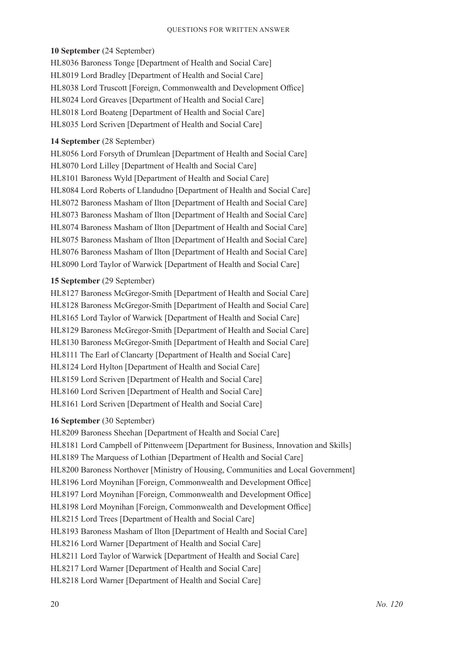#### **10 September** (24 September)

HL8036 Baroness Tonge [Department of Health and Social Care] HL8019 Lord Bradley [Department of Health and Social Care] HL8038 Lord Truscott [Foreign, Commonwealth and Development Office] HL8024 Lord Greaves [Department of Health and Social Care] HL8018 Lord Boateng [Department of Health and Social Care] HL8035 Lord Scriven [Department of Health and Social Care]

# **14 September** (28 September)

HL8056 Lord Forsyth of Drumlean [Department of Health and Social Care] HL8070 Lord Lilley [Department of Health and Social Care] HL8101 Baroness Wyld [Department of Health and Social Care] HL8084 Lord Roberts of Llandudno [Department of Health and Social Care] HL8072 Baroness Masham of Ilton [Department of Health and Social Care] HL8073 Baroness Masham of Ilton [Department of Health and Social Care] HL8074 Baroness Masham of Ilton [Department of Health and Social Care] HL8075 Baroness Masham of Ilton [Department of Health and Social Care] HL8076 Baroness Masham of Ilton [Department of Health and Social Care] HL8090 Lord Taylor of Warwick [Department of Health and Social Care]

#### **15 September** (29 September)

HL8127 Baroness McGregor-Smith [Department of Health and Social Care] HL8128 Baroness McGregor-Smith [Department of Health and Social Care] HL8165 Lord Taylor of Warwick [Department of Health and Social Care] HL8129 Baroness McGregor-Smith [Department of Health and Social Care] HL8130 Baroness McGregor-Smith [Department of Health and Social Care] HL8111 The Earl of Clancarty [Department of Health and Social Care] HL8124 Lord Hylton [Department of Health and Social Care] HL8159 Lord Scriven [Department of Health and Social Care] HL8160 Lord Scriven [Department of Health and Social Care] HL8161 Lord Scriven [Department of Health and Social Care]

# **16 September** (30 September)

HL8209 Baroness Sheehan [Department of Health and Social Care] HL8181 Lord Campbell of Pittenweem [Department for Business, Innovation and Skills] HL8189 The Marquess of Lothian [Department of Health and Social Care] HL8200 Baroness Northover [Ministry of Housing, Communities and Local Government] HL8196 Lord Moynihan [Foreign, Commonwealth and Development Office] HL8197 Lord Moynihan [Foreign, Commonwealth and Development Office] HL8198 Lord Moynihan [Foreign, Commonwealth and Development Office] HL8215 Lord Trees [Department of Health and Social Care] HL8193 Baroness Masham of Ilton [Department of Health and Social Care] HL8216 Lord Warner [Department of Health and Social Care] HL8211 Lord Taylor of Warwick [Department of Health and Social Care] HL8217 Lord Warner [Department of Health and Social Care] HL8218 Lord Warner [Department of Health and Social Care]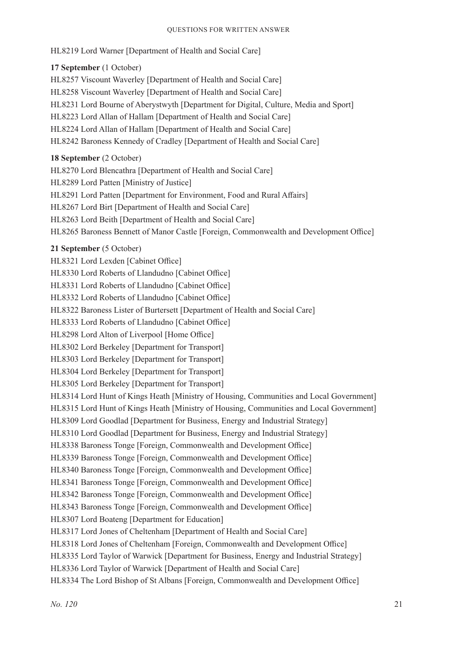#### Questions for Written Answer

HL8219 Lord Warner [Department of Health and Social Care]

# **17 September** (1 October)

HL8257 Viscount Waverley [Department of Health and Social Care] HL8258 Viscount Waverley [Department of Health and Social Care] HL8231 Lord Bourne of Aberystwyth [Department for Digital, Culture, Media and Sport] HL8223 Lord Allan of Hallam [Department of Health and Social Care] HL8224 Lord Allan of Hallam [Department of Health and Social Care] HL8242 Baroness Kennedy of Cradley [Department of Health and Social Care]

#### **18 September** (2 October)

HL8270 Lord Blencathra [Department of Health and Social Care] HL8289 Lord Patten [Ministry of Justice] HL8291 Lord Patten [Department for Environment, Food and Rural Affairs] HL8267 Lord Birt [Department of Health and Social Care] HL8263 Lord Beith [Department of Health and Social Care] HL8265 Baroness Bennett of Manor Castle [Foreign, Commonwealth and Development Office]

#### **21 September** (5 October)

HL8321 Lord Lexden [Cabinet Office] HL8330 Lord Roberts of Llandudno [Cabinet Office] HL8331 Lord Roberts of Llandudno [Cabinet Office] HL8332 Lord Roberts of Llandudno [Cabinet Office] HL8322 Baroness Lister of Burtersett [Department of Health and Social Care] HL8333 Lord Roberts of Llandudno [Cabinet Office] HL8298 Lord Alton of Liverpool [Home Office] HL8302 Lord Berkeley [Department for Transport] HL8303 Lord Berkeley [Department for Transport] HL8304 Lord Berkeley [Department for Transport] HL8305 Lord Berkeley [Department for Transport] HL8314 Lord Hunt of Kings Heath [Ministry of Housing, Communities and Local Government] HL8315 Lord Hunt of Kings Heath [Ministry of Housing, Communities and Local Government] HL8309 Lord Goodlad [Department for Business, Energy and Industrial Strategy] HL8310 Lord Goodlad [Department for Business, Energy and Industrial Strategy] HL8338 Baroness Tonge [Foreign, Commonwealth and Development Office] HL8339 Baroness Tonge [Foreign, Commonwealth and Development Office] HL8340 Baroness Tonge [Foreign, Commonwealth and Development Office] HL8341 Baroness Tonge [Foreign, Commonwealth and Development Office] HL8342 Baroness Tonge [Foreign, Commonwealth and Development Office] HL8343 Baroness Tonge [Foreign, Commonwealth and Development Office] HL8307 Lord Boateng [Department for Education] HL8317 Lord Jones of Cheltenham [Department of Health and Social Care] HL8318 Lord Jones of Cheltenham [Foreign, Commonwealth and Development Office] HL8335 Lord Taylor of Warwick [Department for Business, Energy and Industrial Strategy] HL8336 Lord Taylor of Warwick [Department of Health and Social Care] HL8334 The Lord Bishop of St Albans [Foreign, Commonwealth and Development Office]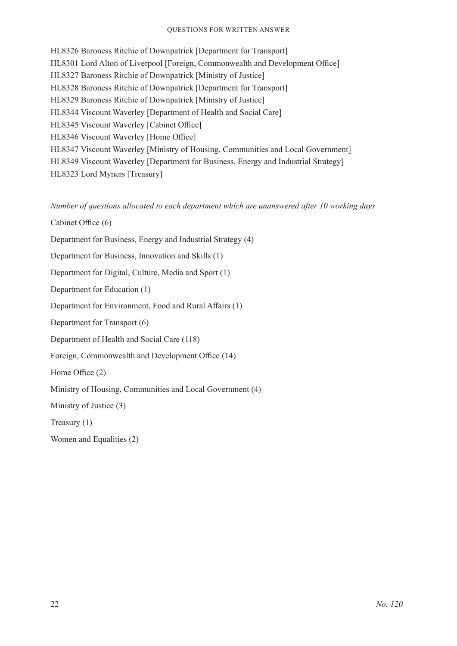#### Questions for Written Answer

HL8326 Baroness Ritchie of Downpatrick [Department for Transport] HL8301 Lord Alton of Liverpool [Foreign, Commonwealth and Development Office] HL8327 Baroness Ritchie of Downpatrick [Ministry of Justice] HL8328 Baroness Ritchie of Downpatrick [Department for Transport] HL8329 Baroness Ritchie of Downpatrick [Ministry of Justice] HL8344 Viscount Waverley [Department of Health and Social Care] HL8345 Viscount Waverley [Cabinet Office] HL8346 Viscount Waverley [Home Office] HL8347 Viscount Waverley [Ministry of Housing, Communities and Local Government] HL8349 Viscount Waverley [Department for Business, Energy and Industrial Strategy] HL8323 Lord Myners [Treasury]

*Number of questions allocated to each department which are unanswered after 10 working days*

Cabinet Office (6)

Department for Business, Energy and Industrial Strategy (4)

Department for Business, Innovation and Skills (1)

Department for Digital, Culture, Media and Sport (1)

Department for Education (1)

Department for Environment, Food and Rural Affairs (1)

Department for Transport (6)

Department of Health and Social Care (118)

Foreign, Commonwealth and Development Office (14)

Home Office (2)

Ministry of Housing, Communities and Local Government (4)

Ministry of Justice (3)

Treasury (1)

Women and Equalities (2)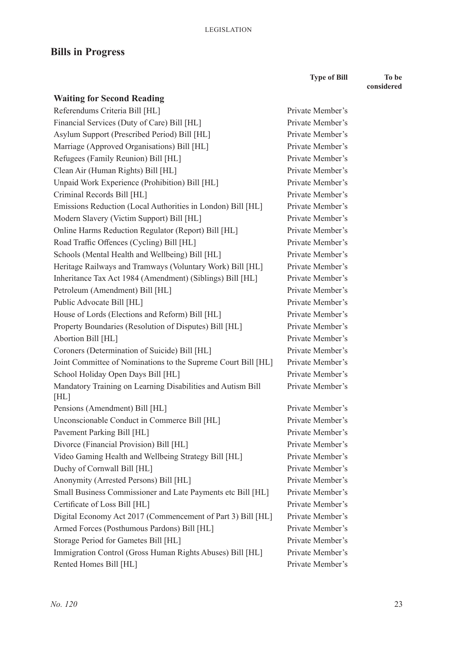# **Bills in Progress**

**Type of Bill To be** 

Private Member's Private Member's Private Member's Private Member's Private Member's Private Member's Private Member's Private Member's Private Member's Private Member's Private Member's Private Member's **considered**

| <b>Waiting for Second Reading</b>                                   |
|---------------------------------------------------------------------|
| Referendums Criteria Bill [HL]                                      |
| Financial Services (Duty of Care) Bill [HL]                         |
| Asylum Support (Prescribed Period) Bill [HL]                        |
| Marriage (Approved Organisations) Bill [HL]                         |
| Refugees (Family Reunion) Bill [HL]                                 |
| Clean Air (Human Rights) Bill [HL]                                  |
| Unpaid Work Experience (Prohibition) Bill [HL]                      |
| Criminal Records Bill [HL]                                          |
| Emissions Reduction (Local Authorities in London) Bill [HL]         |
| Modern Slavery (Victim Support) Bill [HL]                           |
| Online Harms Reduction Regulator (Report) Bill [HL]                 |
| Road Traffic Offences (Cycling) Bill [HL]                           |
| Schools (Mental Health and Wellbeing) Bill [HL]                     |
| Heritage Railways and Tramways (Voluntary Work) Bill [HL]           |
| Inheritance Tax Act 1984 (Amendment) (Siblings) Bill [HL]           |
| Petroleum (Amendment) Bill [HL]                                     |
| Public Advocate Bill [HL]                                           |
| House of Lords (Elections and Reform) Bill [HL]                     |
| Property Boundaries (Resolution of Disputes) Bill [HL]              |
| Abortion Bill [HL]                                                  |
| Coroners (Determination of Suicide) Bill [HL]                       |
| Joint Committee of Nominations to the Supreme Court Bill [HL]       |
| School Holiday Open Days Bill [HL]                                  |
| Mandatory Training on Learning Disabilities and Autism Bill<br>[HL] |
| Pensions (Amendment) Bill [HL]                                      |
| Unconscionable Conduct in Commerce Bill [HL]                        |
| Pavement Parking Bill [HL]                                          |
| Divorce (Financial Provision) Bill [HL]                             |
| Video Gaming Health and Wellbeing Strategy Bill [HL]                |
| Duchy of Cornwall Bill [HL]                                         |
| Anonymity (Arrested Persons) Bill [HL]                              |
| Small Business Commissioner and Late Payments etc Bill [HL]         |
| Certificate of Loss Bill [HL]                                       |
| Digital Economy Act 2017 (Commencement of Part 3) Bill [HL]         |
| Armed Forces (Posthumous Pardons) Bill [HL]                         |
| Storage Period for Gametes Bill [HL]                                |
| Immigration Control (Gross Human Rights Abuses) Bill [HL]           |
| Rented Homes Bill [HL]                                              |

Private Member's Private Member's Private Member's Private Member's Private Member's Private Member's Private Member's Private Member's Private Member's Private Member's Private Member's Private Member's Private Member's Private Member's Private Member's Private Member's Private Member's Private Member's Private Member's Private Member's Private Member's Private Member's Private Member's Private Member's Private Member's Private Member's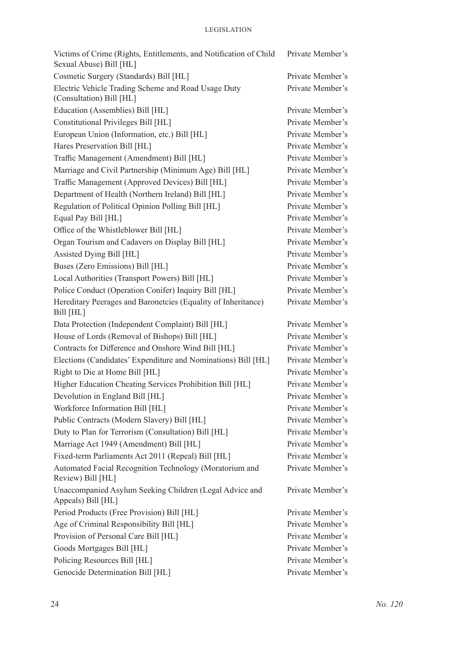| Victims of Crime (Rights, Entitlements, and Notification of Child<br>Sexual Abuse) Bill [HL] | Private Member's |
|----------------------------------------------------------------------------------------------|------------------|
| Cosmetic Surgery (Standards) Bill [HL]                                                       | Private Member's |
| Electric Vehicle Trading Scheme and Road Usage Duty<br>(Consultation) Bill [HL]              | Private Member's |
| Education (Assemblies) Bill [HL]                                                             | Private Member's |
| Constitutional Privileges Bill [HL]                                                          | Private Member's |
| European Union (Information, etc.) Bill [HL]                                                 | Private Member's |
| Hares Preservation Bill [HL]                                                                 | Private Member's |
| Traffic Management (Amendment) Bill [HL]                                                     | Private Member's |
| Marriage and Civil Partnership (Minimum Age) Bill [HL]                                       | Private Member's |
| Traffic Management (Approved Devices) Bill [HL]                                              | Private Member's |
| Department of Health (Northern Ireland) Bill [HL]                                            | Private Member's |
| Regulation of Political Opinion Polling Bill [HL]                                            | Private Member's |
| Equal Pay Bill [HL]                                                                          | Private Member's |
| Office of the Whistleblower Bill [HL]                                                        | Private Member's |
| Organ Tourism and Cadavers on Display Bill [HL]                                              | Private Member's |
| Assisted Dying Bill [HL]                                                                     | Private Member's |
| Buses (Zero Emissions) Bill [HL]                                                             | Private Member's |
| Local Authorities (Transport Powers) Bill [HL]                                               | Private Member's |
| Police Conduct (Operation Conifer) Inquiry Bill [HL]                                         | Private Member's |
| Hereditary Peerages and Baronetcies (Equality of Inheritance)<br>Bill [HL]                   | Private Member's |
| Data Protection (Independent Complaint) Bill [HL]                                            | Private Member's |
| House of Lords (Removal of Bishops) Bill [HL]                                                | Private Member's |
| Contracts for Difference and Onshore Wind Bill [HL]                                          | Private Member's |
| Elections (Candidates' Expenditure and Nominations) Bill [HL]                                | Private Member's |
| Right to Die at Home Bill [HL]                                                               | Private Member's |
| Higher Education Cheating Services Prohibition Bill [HL]                                     | Private Member's |
| Devolution in England Bill [HL]                                                              | Private Member's |
| Workforce Information Bill [HL]                                                              | Private Member's |
| Public Contracts (Modern Slavery) Bill [HL]                                                  | Private Member's |
| Duty to Plan for Terrorism (Consultation) Bill [HL]                                          | Private Member's |
| Marriage Act 1949 (Amendment) Bill [HL]                                                      | Private Member's |
| Fixed-term Parliaments Act 2011 (Repeal) Bill [HL]                                           | Private Member's |
| Automated Facial Recognition Technology (Moratorium and<br>Review) Bill [HL]                 | Private Member's |
| Unaccompanied Asylum Seeking Children (Legal Advice and<br>Appeals) Bill [HL]                | Private Member's |
| Period Products (Free Provision) Bill [HL]                                                   | Private Member's |
| Age of Criminal Responsibility Bill [HL]                                                     | Private Member's |
| Provision of Personal Care Bill [HL]                                                         | Private Member's |
| Goods Mortgages Bill [HL]                                                                    | Private Member's |
| Policing Resources Bill [HL]                                                                 | Private Member's |
| Genocide Determination Bill [HL]                                                             | Private Member's |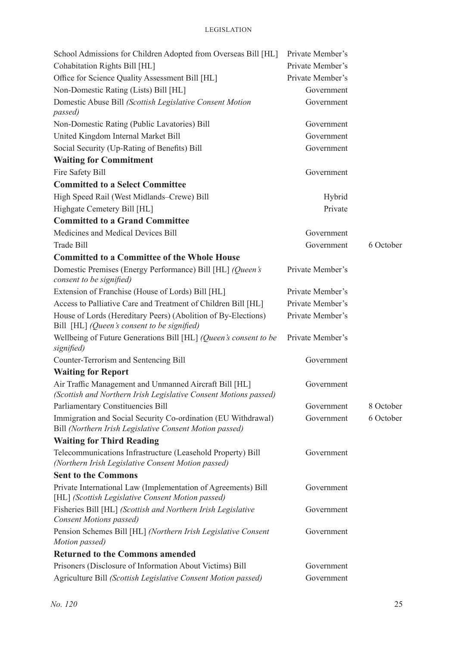| School Admissions for Children Adopted from Overseas Bill [HL]                                                             | Private Member's |           |
|----------------------------------------------------------------------------------------------------------------------------|------------------|-----------|
| Cohabitation Rights Bill [HL]                                                                                              | Private Member's |           |
| Office for Science Quality Assessment Bill [HL]                                                                            | Private Member's |           |
| Non-Domestic Rating (Lists) Bill [HL]                                                                                      | Government       |           |
| Domestic Abuse Bill (Scottish Legislative Consent Motion<br>passed)                                                        | Government       |           |
| Non-Domestic Rating (Public Lavatories) Bill                                                                               | Government       |           |
| United Kingdom Internal Market Bill                                                                                        | Government       |           |
| Social Security (Up-Rating of Benefits) Bill                                                                               | Government       |           |
| <b>Waiting for Commitment</b>                                                                                              |                  |           |
| Fire Safety Bill                                                                                                           | Government       |           |
| <b>Committed to a Select Committee</b>                                                                                     |                  |           |
| High Speed Rail (West Midlands-Crewe) Bill                                                                                 | Hybrid           |           |
| Highgate Cemetery Bill [HL]                                                                                                | Private          |           |
| <b>Committed to a Grand Committee</b>                                                                                      |                  |           |
| Medicines and Medical Devices Bill                                                                                         | Government       |           |
| <b>Trade Bill</b>                                                                                                          | Government       | 6 October |
| <b>Committed to a Committee of the Whole House</b>                                                                         |                  |           |
| Domestic Premises (Energy Performance) Bill [HL] (Queen's<br>consent to be signified)                                      | Private Member's |           |
| Extension of Franchise (House of Lords) Bill [HL]                                                                          | Private Member's |           |
| Access to Palliative Care and Treatment of Children Bill [HL]                                                              | Private Member's |           |
| House of Lords (Hereditary Peers) (Abolition of By-Elections)<br>Bill [HL] (Queen's consent to be signified)               | Private Member's |           |
| Wellbeing of Future Generations Bill [HL] (Queen's consent to be<br>signified)                                             | Private Member's |           |
| Counter-Terrorism and Sentencing Bill                                                                                      | Government       |           |
| <b>Waiting for Report</b>                                                                                                  |                  |           |
| Air Traffic Management and Unmanned Aircraft Bill [HL]<br>(Scottish and Northern Irish Legislative Consent Motions passed) | Government       |           |
| Parliamentary Constituencies Bill                                                                                          | Government       | 8 October |
| Immigration and Social Security Co-ordination (EU Withdrawal)<br>Bill (Northern Irish Legislative Consent Motion passed)   | Government       | 6 October |
| <b>Waiting for Third Reading</b>                                                                                           |                  |           |
| Telecommunications Infrastructure (Leasehold Property) Bill<br>(Northern Irish Legislative Consent Motion passed)          | Government       |           |
| <b>Sent to the Commons</b>                                                                                                 |                  |           |
| Private International Law (Implementation of Agreements) Bill<br>[HL] (Scottish Legislative Consent Motion passed)         | Government       |           |
| Fisheries Bill [HL] (Scottish and Northern Irish Legislative<br><b>Consent Motions passed)</b>                             | Government       |           |
| Pension Schemes Bill [HL] (Northern Irish Legislative Consent<br>Motion passed)                                            | Government       |           |
| <b>Returned to the Commons amended</b>                                                                                     |                  |           |
| Prisoners (Disclosure of Information About Victims) Bill                                                                   | Government       |           |
| Agriculture Bill (Scottish Legislative Consent Motion passed)                                                              | Government       |           |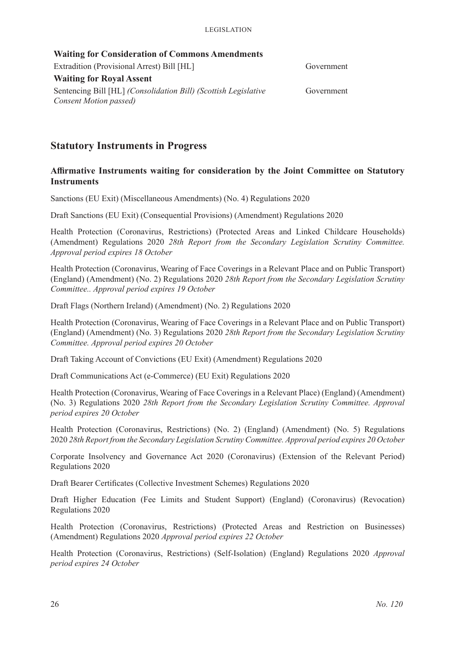| <b>Waiting for Consideration of Commons Amendments</b>                                    |            |
|-------------------------------------------------------------------------------------------|------------|
| Extradition (Provisional Arrest) Bill [HL]                                                | Government |
| <b>Waiting for Royal Assent</b>                                                           |            |
| Sentencing Bill [HL] (Consolidation Bill) (Scottish Legislative<br>Consent Motion passed) | Government |
|                                                                                           |            |

# **Statutory Instruments in Progress**

#### **Affirmative Instruments waiting for consideration by the Joint Committee on Statutory Instruments**

Sanctions (EU Exit) (Miscellaneous Amendments) (No. 4) Regulations 2020

Draft Sanctions (EU Exit) (Consequential Provisions) (Amendment) Regulations 2020

Health Protection (Coronavirus, Restrictions) (Protected Areas and Linked Childcare Households) (Amendment) Regulations 2020 *28th Report from the Secondary Legislation Scrutiny Committee. Approval period expires 18 October*

Health Protection (Coronavirus, Wearing of Face Coverings in a Relevant Place and on Public Transport) (England) (Amendment) (No. 2) Regulations 2020 *28th Report from the Secondary Legislation Scrutiny Committee.. Approval period expires 19 October*

Draft Flags (Northern Ireland) (Amendment) (No. 2) Regulations 2020

Health Protection (Coronavirus, Wearing of Face Coverings in a Relevant Place and on Public Transport) (England) (Amendment) (No. 3) Regulations 2020 *28th Report from the Secondary Legislation Scrutiny Committee. Approval period expires 20 October*

Draft Taking Account of Convictions (EU Exit) (Amendment) Regulations 2020

Draft Communications Act (e-Commerce) (EU Exit) Regulations 2020

Health Protection (Coronavirus, Wearing of Face Coverings in a Relevant Place) (England) (Amendment) (No. 3) Regulations 2020 *28th Report from the Secondary Legislation Scrutiny Committee. Approval period expires 20 October*

Health Protection (Coronavirus, Restrictions) (No. 2) (England) (Amendment) (No. 5) Regulations 2020 *28th Report from the Secondary Legislation Scrutiny Committee. Approval period expires 20 October*

Corporate Insolvency and Governance Act 2020 (Coronavirus) (Extension of the Relevant Period) Regulations 2020

Draft Bearer Certificates (Collective Investment Schemes) Regulations 2020

Draft Higher Education (Fee Limits and Student Support) (England) (Coronavirus) (Revocation) Regulations 2020

Health Protection (Coronavirus, Restrictions) (Protected Areas and Restriction on Businesses) (Amendment) Regulations 2020 *Approval period expires 22 October*

Health Protection (Coronavirus, Restrictions) (Self-Isolation) (England) Regulations 2020 *Approval period expires 24 October*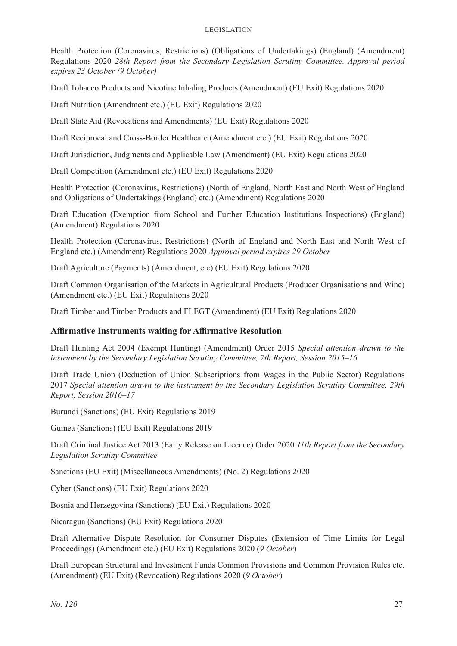#### Legislation

Health Protection (Coronavirus, Restrictions) (Obligations of Undertakings) (England) (Amendment) Regulations 2020 *28th Report from the Secondary Legislation Scrutiny Committee. Approval period expires 23 October (9 October)*

Draft Tobacco Products and Nicotine Inhaling Products (Amendment) (EU Exit) Regulations 2020

Draft Nutrition (Amendment etc.) (EU Exit) Regulations 2020

Draft State Aid (Revocations and Amendments) (EU Exit) Regulations 2020

Draft Reciprocal and Cross-Border Healthcare (Amendment etc.) (EU Exit) Regulations 2020

Draft Jurisdiction, Judgments and Applicable Law (Amendment) (EU Exit) Regulations 2020

Draft Competition (Amendment etc.) (EU Exit) Regulations 2020

Health Protection (Coronavirus, Restrictions) (North of England, North East and North West of England and Obligations of Undertakings (England) etc.) (Amendment) Regulations 2020

Draft Education (Exemption from School and Further Education Institutions Inspections) (England) (Amendment) Regulations 2020

Health Protection (Coronavirus, Restrictions) (North of England and North East and North West of England etc.) (Amendment) Regulations 2020 *Approval period expires 29 October*

Draft Agriculture (Payments) (Amendment, etc) (EU Exit) Regulations 2020

Draft Common Organisation of the Markets in Agricultural Products (Producer Organisations and Wine) (Amendment etc.) (EU Exit) Regulations 2020

Draft Timber and Timber Products and FLEGT (Amendment) (EU Exit) Regulations 2020

#### **Affirmative Instruments waiting for Affirmative Resolution**

Draft Hunting Act 2004 (Exempt Hunting) (Amendment) Order 2015 *Special attention drawn to the instrument by the Secondary Legislation Scrutiny Committee, 7th Report, Session 2015–16*

Draft Trade Union (Deduction of Union Subscriptions from Wages in the Public Sector) Regulations 2017 *Special attention drawn to the instrument by the Secondary Legislation Scrutiny Committee, 29th Report, Session 2016–17*

Burundi (Sanctions) (EU Exit) Regulations 2019

Guinea (Sanctions) (EU Exit) Regulations 2019

Draft Criminal Justice Act 2013 (Early Release on Licence) Order 2020 *11th Report from the Secondary Legislation Scrutiny Committee*

Sanctions (EU Exit) (Miscellaneous Amendments) (No. 2) Regulations 2020

Cyber (Sanctions) (EU Exit) Regulations 2020

Bosnia and Herzegovina (Sanctions) (EU Exit) Regulations 2020

Nicaragua (Sanctions) (EU Exit) Regulations 2020

Draft Alternative Dispute Resolution for Consumer Disputes (Extension of Time Limits for Legal Proceedings) (Amendment etc.) (EU Exit) Regulations 2020 (*9 October*)

Draft European Structural and Investment Funds Common Provisions and Common Provision Rules etc. (Amendment) (EU Exit) (Revocation) Regulations 2020 (*9 October*)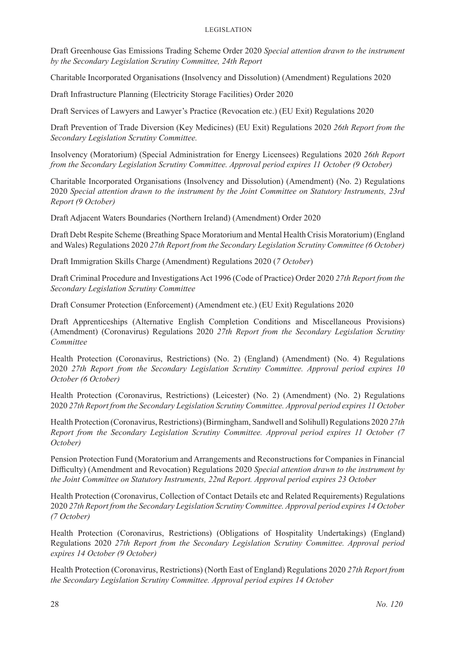Draft Greenhouse Gas Emissions Trading Scheme Order 2020 *Special attention drawn to the instrument by the Secondary Legislation Scrutiny Committee, 24th Report* 

Charitable Incorporated Organisations (Insolvency and Dissolution) (Amendment) Regulations 2020

Draft Infrastructure Planning (Electricity Storage Facilities) Order 2020

Draft Services of Lawyers and Lawyer's Practice (Revocation etc.) (EU Exit) Regulations 2020

Draft Prevention of Trade Diversion (Key Medicines) (EU Exit) Regulations 2020 *26th Report from the Secondary Legislation Scrutiny Committee.*

Insolvency (Moratorium) (Special Administration for Energy Licensees) Regulations 2020 *26th Report from the Secondary Legislation Scrutiny Committee. Approval period expires 11 October (9 October)*

Charitable Incorporated Organisations (Insolvency and Dissolution) (Amendment) (No. 2) Regulations 2020 *Special attention drawn to the instrument by the Joint Committee on Statutory Instruments, 23rd Report (9 October)*

Draft Adjacent Waters Boundaries (Northern Ireland) (Amendment) Order 2020

Draft Debt Respite Scheme (Breathing Space Moratorium and Mental Health Crisis Moratorium) (England and Wales) Regulations 2020 *27th Report from the Secondary Legislation Scrutiny Committee (6 October)*

Draft Immigration Skills Charge (Amendment) Regulations 2020 (*7 October*)

Draft Criminal Procedure and Investigations Act 1996 (Code of Practice) Order 2020 *27th Report from the Secondary Legislation Scrutiny Committee*

Draft Consumer Protection (Enforcement) (Amendment etc.) (EU Exit) Regulations 2020

Draft Apprenticeships (Alternative English Completion Conditions and Miscellaneous Provisions) (Amendment) (Coronavirus) Regulations 2020 *27th Report from the Secondary Legislation Scrutiny Committee*

Health Protection (Coronavirus, Restrictions) (No. 2) (England) (Amendment) (No. 4) Regulations 2020 *27th Report from the Secondary Legislation Scrutiny Committee. Approval period expires 10 October (6 October)*

Health Protection (Coronavirus, Restrictions) (Leicester) (No. 2) (Amendment) (No. 2) Regulations 2020 *27th Report from the Secondary Legislation Scrutiny Committee. Approval period expires 11 October*

Health Protection (Coronavirus, Restrictions) (Birmingham, Sandwell and Solihull) Regulations 2020 *27th Report from the Secondary Legislation Scrutiny Committee. Approval period expires 11 October (7 October)*

Pension Protection Fund (Moratorium and Arrangements and Reconstructions for Companies in Financial Difficulty) (Amendment and Revocation) Regulations 2020 *Special attention drawn to the instrument by the Joint Committee on Statutory Instruments, 22nd Report. Approval period expires 23 October*

Health Protection (Coronavirus, Collection of Contact Details etc and Related Requirements) Regulations 2020 *27th Report from the Secondary Legislation Scrutiny Committee. Approval period expires 14 October (7 October)*

Health Protection (Coronavirus, Restrictions) (Obligations of Hospitality Undertakings) (England) Regulations 2020 *27th Report from the Secondary Legislation Scrutiny Committee. Approval period expires 14 October (9 October)*

Health Protection (Coronavirus, Restrictions) (North East of England) Regulations 2020 *27th Report from the Secondary Legislation Scrutiny Committee. Approval period expires 14 October*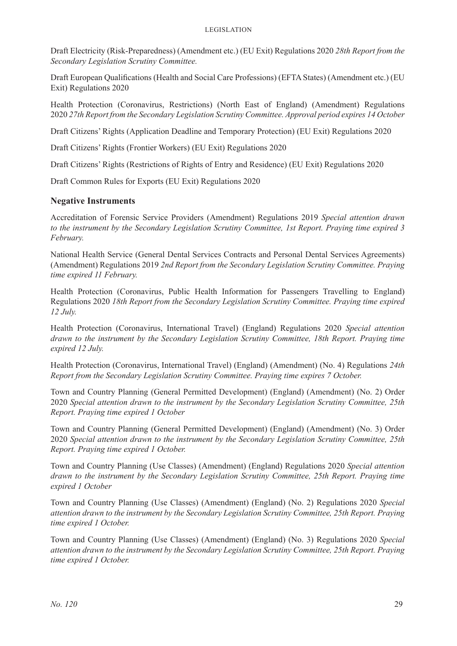#### Legislation

Draft Electricity (Risk-Preparedness) (Amendment etc.) (EU Exit) Regulations 2020 *28th Report from the Secondary Legislation Scrutiny Committee.*

Draft European Qualifications (Health and Social Care Professions) (EFTA States) (Amendment etc.) (EU Exit) Regulations 2020

Health Protection (Coronavirus, Restrictions) (North East of England) (Amendment) Regulations 2020 *27th Report from the Secondary Legislation Scrutiny Committee. Approval period expires 14 October*

Draft Citizens' Rights (Application Deadline and Temporary Protection) (EU Exit) Regulations 2020

Draft Citizens' Rights (Frontier Workers) (EU Exit) Regulations 2020

Draft Citizens' Rights (Restrictions of Rights of Entry and Residence) (EU Exit) Regulations 2020

Draft Common Rules for Exports (EU Exit) Regulations 2020

#### **Negative Instruments**

Accreditation of Forensic Service Providers (Amendment) Regulations 2019 *Special attention drawn to the instrument by the Secondary Legislation Scrutiny Committee, 1st Report. Praying time expired 3 February.* 

National Health Service (General Dental Services Contracts and Personal Dental Services Agreements) (Amendment) Regulations 2019 *2nd Report from the Secondary Legislation Scrutiny Committee. Praying time expired 11 February.* 

Health Protection (Coronavirus, Public Health Information for Passengers Travelling to England) Regulations 2020 *18th Report from the Secondary Legislation Scrutiny Committee. Praying time expired 12 July.* 

Health Protection (Coronavirus, International Travel) (England) Regulations 2020 *Special attention drawn to the instrument by the Secondary Legislation Scrutiny Committee, 18th Report. Praying time expired 12 July.* 

Health Protection (Coronavirus, International Travel) (England) (Amendment) (No. 4) Regulations *24th Report from the Secondary Legislation Scrutiny Committee. Praying time expires 7 October.*

Town and Country Planning (General Permitted Development) (England) (Amendment) (No. 2) Order 2020 *Special attention drawn to the instrument by the Secondary Legislation Scrutiny Committee, 25th Report. Praying time expired 1 October*

Town and Country Planning (General Permitted Development) (England) (Amendment) (No. 3) Order 2020 *Special attention drawn to the instrument by the Secondary Legislation Scrutiny Committee, 25th Report. Praying time expired 1 October.*

Town and Country Planning (Use Classes) (Amendment) (England) Regulations 2020 *Special attention drawn to the instrument by the Secondary Legislation Scrutiny Committee, 25th Report. Praying time expired 1 October*

Town and Country Planning (Use Classes) (Amendment) (England) (No. 2) Regulations 2020 *Special attention drawn to the instrument by the Secondary Legislation Scrutiny Committee, 25th Report. Praying time expired 1 October.*

Town and Country Planning (Use Classes) (Amendment) (England) (No. 3) Regulations 2020 *Special attention drawn to the instrument by the Secondary Legislation Scrutiny Committee, 25th Report. Praying time expired 1 October.*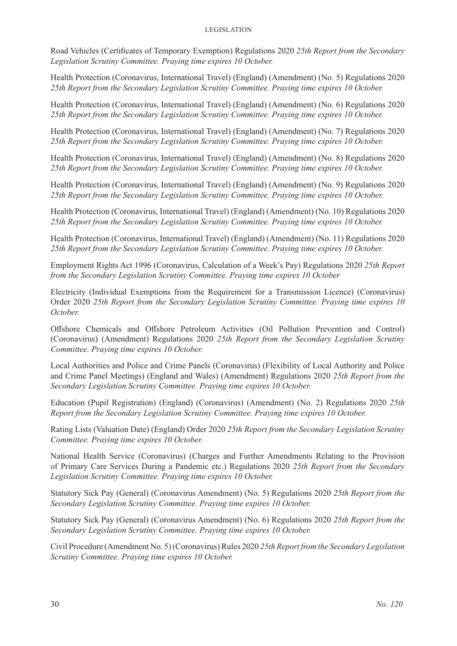Road Vehicles (Certificates of Temporary Exemption) Regulations 2020 *25th Report from the Secondary Legislation Scrutiny Committee. Praying time expires 10 October.*

Health Protection (Coronavirus, International Travel) (England) (Amendment) (No. 5) Regulations 2020 *25th Report from the Secondary Legislation Scrutiny Committee. Praying time expires 10 October.*

Health Protection (Coronavirus, International Travel) (England) (Amendment) (No. 6) Regulations 2020 *25th Report from the Secondary Legislation Scrutiny Committee. Praying time expires 10 October.*

Health Protection (Coronavirus, International Travel) (England) (Amendment) (No. 7) Regulations 2020 *25th Report from the Secondary Legislation Scrutiny Committee. Praying time expires 10 October.*

Health Protection (Coronavirus, International Travel) (England) (Amendment) (No. 8) Regulations 2020 *25th Report from the Secondary Legislation Scrutiny Committee. Praying time expires 10 October.*

Health Protection (Coronavirus, International Travel) (England) (Amendment) (No. 9) Regulations 2020 *25th Report from the Secondary Legislation Scrutiny Committee. Praying time expires 10 October.*

Health Protection (Coronavirus, International Travel) (England) (Amendment) (No. 10) Regulations 2020 *25th Report from the Secondary Legislation Scrutiny Committee. Praying time expires 10 October.*

Health Protection (Coronavirus, International Travel) (England) (Amendment) (No. 11) Regulations 2020 *25th Report from the Secondary Legislation Scrutiny Committee. Praying time expires 10 October.*

Employment Rights Act 1996 (Coronavirus, Calculation of a Week's Pay) Regulations 2020 *25th Report from the Secondary Legislation Scrutiny Committee. Praying time expires 10 October*

Electricity (Individual Exemptions from the Requirement for a Transmission Licence) (Coronavirus) Order 2020 *25th Report from the Secondary Legislation Scrutiny Committee. Praying time expires 10 October.*

Offshore Chemicals and Offshore Petroleum Activities (Oil Pollution Prevention and Control) (Coronavirus) (Amendment) Regulations 2020 *25th Report from the Secondary Legislation Scrutiny Committee. Praying time expires 10 October.*

Local Authorities and Police and Crime Panels (Coronavirus) (Flexibility of Local Authority and Police and Crime Panel Meetings) (England and Wales) (Amendment) Regulations 2020 *25th Report from the Secondary Legislation Scrutiny Committee. Praying time expires 10 October.*

Education (Pupil Registration) (England) (Coronavirus) (Amendment) (No. 2) Regulations 2020 *25th Report from the Secondary Legislation Scrutiny Committee. Praying time expires 10 October.*

Rating Lists (Valuation Date) (England) Order 2020 *25th Report from the Secondary Legislation Scrutiny Committee. Praying time expires 10 October.*

National Health Service (Coronavirus) (Charges and Further Amendments Relating to the Provision of Primary Care Services During a Pandemic etc.) Regulations 2020 *25th Report from the Secondary Legislation Scrutiny Committee. Praying time expires 10 October.*

Statutory Sick Pay (General) (Coronavirus Amendment) (No. 5) Regulations 2020 *25th Report from the Secondary Legislation Scrutiny Committee. Praying time expires 10 October.*

Statutory Sick Pay (General) (Coronavirus Amendment) (No. 6) Regulations 2020 *25th Report from the Secondary Legislation Scrutiny Committee. Praying time expires 10 October.*

Civil Procedure (Amendment No. 5) (Coronavirus) Rules 2020 *25th Report from the Secondary Legislation Scrutiny Committee. Praying time expires 10 October.*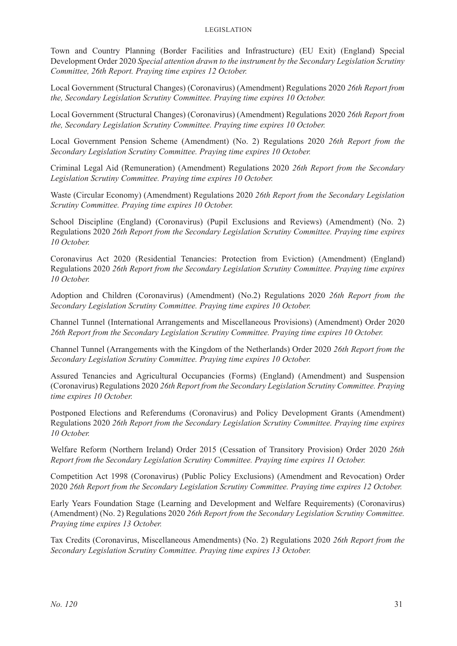Town and Country Planning (Border Facilities and Infrastructure) (EU Exit) (England) Special Development Order 2020 *Special attention drawn to the instrument by the Secondary Legislation Scrutiny Committee, 26th Report. Praying time expires 12 October.*

Local Government (Structural Changes) (Coronavirus) (Amendment) Regulations 2020 *26th Report from the, Secondary Legislation Scrutiny Committee. Praying time expires 10 October.*

Local Government (Structural Changes) (Coronavirus) (Amendment) Regulations 2020 *26th Report from the, Secondary Legislation Scrutiny Committee. Praying time expires 10 October.*

Local Government Pension Scheme (Amendment) (No. 2) Regulations 2020 *26th Report from the Secondary Legislation Scrutiny Committee. Praying time expires 10 October.*

Criminal Legal Aid (Remuneration) (Amendment) Regulations 2020 *26th Report from the Secondary Legislation Scrutiny Committee. Praying time expires 10 October.*

Waste (Circular Economy) (Amendment) Regulations 2020 *26th Report from the Secondary Legislation Scrutiny Committee. Praying time expires 10 October.*

School Discipline (England) (Coronavirus) (Pupil Exclusions and Reviews) (Amendment) (No. 2) Regulations 2020 *26th Report from the Secondary Legislation Scrutiny Committee. Praying time expires 10 October.*

Coronavirus Act 2020 (Residential Tenancies: Protection from Eviction) (Amendment) (England) Regulations 2020 *26th Report from the Secondary Legislation Scrutiny Committee. Praying time expires 10 October.*

Adoption and Children (Coronavirus) (Amendment) (No.2) Regulations 2020 *26th Report from the Secondary Legislation Scrutiny Committee. Praying time expires 10 October.*

Channel Tunnel (International Arrangements and Miscellaneous Provisions) (Amendment) Order 2020 *26th Report from the Secondary Legislation Scrutiny Committee. Praying time expires 10 October.*

Channel Tunnel (Arrangements with the Kingdom of the Netherlands) Order 2020 *26th Report from the Secondary Legislation Scrutiny Committee. Praying time expires 10 October.*

Assured Tenancies and Agricultural Occupancies (Forms) (England) (Amendment) and Suspension (Coronavirus) Regulations 2020 *26th Report from the Secondary Legislation Scrutiny Committee. Praying time expires 10 October.*

Postponed Elections and Referendums (Coronavirus) and Policy Development Grants (Amendment) Regulations 2020 *26th Report from the Secondary Legislation Scrutiny Committee. Praying time expires 10 October.*

Welfare Reform (Northern Ireland) Order 2015 (Cessation of Transitory Provision) Order 2020 *26th Report from the Secondary Legislation Scrutiny Committee. Praying time expires 11 October.*

Competition Act 1998 (Coronavirus) (Public Policy Exclusions) (Amendment and Revocation) Order 2020 *26th Report from the Secondary Legislation Scrutiny Committee. Praying time expires 12 October.*

Early Years Foundation Stage (Learning and Development and Welfare Requirements) (Coronavirus) (Amendment) (No. 2) Regulations 2020 *26th Report from the Secondary Legislation Scrutiny Committee. Praying time expires 13 October.*

Tax Credits (Coronavirus, Miscellaneous Amendments) (No. 2) Regulations 2020 *26th Report from the Secondary Legislation Scrutiny Committee. Praying time expires 13 October.*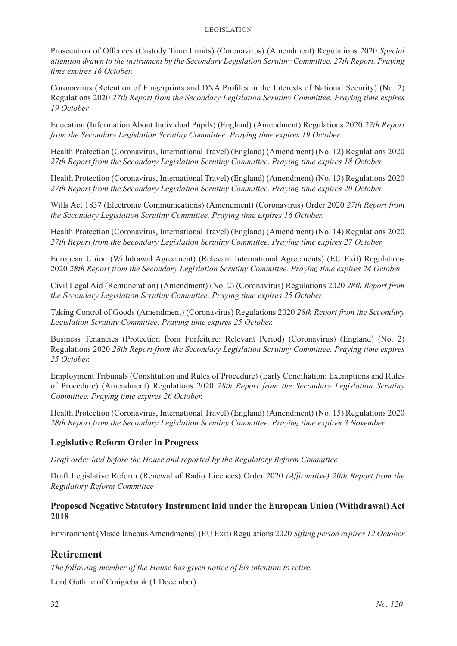Prosecution of Offences (Custody Time Limits) (Coronavirus) (Amendment) Regulations 2020 *Special attention drawn to the instrument by the Secondary Legislation Scrutiny Committee, 27th Report. Praying time expires 16 October.*

Coronavirus (Retention of Fingerprints and DNA Profiles in the Interests of National Security) (No. 2) Regulations 2020 *27th Report from the Secondary Legislation Scrutiny Committee. Praying time expires 19 October*

Education (Information About Individual Pupils) (England) (Amendment) Regulations 2020 *27th Report from the Secondary Legislation Scrutiny Committee. Praying time expires 19 October.*

Health Protection (Coronavirus, International Travel) (England) (Amendment) (No. 12) Regulations 2020 *27th Report from the Secondary Legislation Scrutiny Committee. Praying time expires 18 October.*

Health Protection (Coronavirus, International Travel) (England) (Amendment) (No. 13) Regulations 2020 *27th Report from the Secondary Legislation Scrutiny Committee. Praying time expires 20 October.*

Wills Act 1837 (Electronic Communications) (Amendment) (Coronavirus) Order 2020 *27th Report from the Secondary Legislation Scrutiny Committee. Praying time expires 16 October.*

Health Protection (Coronavirus, International Travel) (England) (Amendment) (No. 14) Regulations 2020 *27th Report from the Secondary Legislation Scrutiny Committee. Praying time expires 27 October.*

European Union (Withdrawal Agreement) (Relevant International Agreements) (EU Exit) Regulations 2020 *28th Report from the Secondary Legislation Scrutiny Committee. Praying time expires 24 October*

Civil Legal Aid (Remuneration) (Amendment) (No. 2) (Coronavirus) Regulations 2020 *28th Report from the Secondary Legislation Scrutiny Committee. Praying time expires 25 October.*

Taking Control of Goods (Amendment) (Coronavirus) Regulations 2020 *28th Report from the Secondary Legislation Scrutiny Committee. Praying time expires 25 October.*

Business Tenancies (Protection from Forfeiture: Relevant Period) (Coronavirus) (England) (No. 2) Regulations 2020 *28th Report from the Secondary Legislation Scrutiny Committee. Praying time expires 25 October.*

Employment Tribunals (Constitution and Rules of Procedure) (Early Conciliation: Exemptions and Rules of Procedure) (Amendment) Regulations 2020 *28th Report from the Secondary Legislation Scrutiny Committee. Praying time expires 26 October.*

Health Protection (Coronavirus, International Travel) (England) (Amendment) (No. 15) Regulations 2020 *28th Report from the Secondary Legislation Scrutiny Committee. Praying time expires 3 November.*

#### **Legislative Reform Order in Progress**

*Draft order laid before the House and reported by the Regulatory Reform Committee*

Draft Legislative Reform (Renewal of Radio Licences) Order 2020 *(Affirmative) 20th Report from the Regulatory Reform Committee*

#### **Proposed Negative Statutory Instrument laid under the European Union (Withdrawal) Act 2018**

Environment (Miscellaneous Amendments) (EU Exit) Regulations 2020 *Sifting period expires 12 October*

# **Retirement**

*The following member of the House has given notice of his intention to retire.*

Lord Guthrie of Craigiebank (1 December)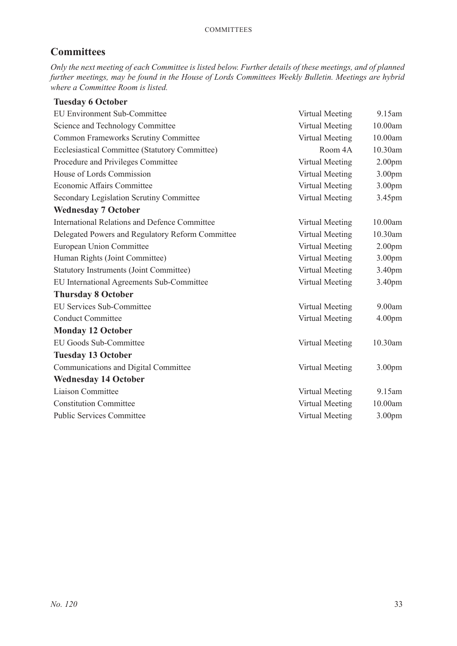# **Committees**

*Only the next meeting of each Committee is listed below. Further details of these meetings, and of planned further meetings, may be found in the House of Lords Committees Weekly Bulletin. Meetings are hybrid where a Committee Room is listed.*

| <b>Tuesday 6 October</b>                             |                 |                    |
|------------------------------------------------------|-----------------|--------------------|
| <b>EU Environment Sub-Committee</b>                  | Virtual Meeting | 9.15am             |
| Science and Technology Committee                     | Virtual Meeting | 10.00am            |
| <b>Common Frameworks Scrutiny Committee</b>          | Virtual Meeting | 10.00am            |
| Ecclesiastical Committee (Statutory Committee)       | Room 4A         | 10.30am            |
| Procedure and Privileges Committee                   | Virtual Meeting | 2.00 <sub>pm</sub> |
| House of Lords Commission                            | Virtual Meeting | 3.00pm             |
| Economic Affairs Committee                           | Virtual Meeting | 3.00pm             |
| Secondary Legislation Scrutiny Committee             | Virtual Meeting | 3.45pm             |
| <b>Wednesday 7 October</b>                           |                 |                    |
| <b>International Relations and Defence Committee</b> | Virtual Meeting | 10.00am            |
| Delegated Powers and Regulatory Reform Committee     | Virtual Meeting | 10.30am            |
| European Union Committee                             | Virtual Meeting | 2.00 <sub>pm</sub> |
| Human Rights (Joint Committee)                       | Virtual Meeting | 3.00pm             |
| <b>Statutory Instruments (Joint Committee)</b>       | Virtual Meeting | 3.40pm             |
| EU International Agreements Sub-Committee            | Virtual Meeting | 3.40pm             |
| <b>Thursday 8 October</b>                            |                 |                    |
| <b>EU Services Sub-Committee</b>                     | Virtual Meeting | 9.00am             |
| <b>Conduct Committee</b>                             | Virtual Meeting | 4.00 <sub>pm</sub> |
| <b>Monday 12 October</b>                             |                 |                    |
| EU Goods Sub-Committee                               | Virtual Meeting | 10.30am            |
| <b>Tuesday 13 October</b>                            |                 |                    |
| Communications and Digital Committee                 | Virtual Meeting | 3.00pm             |
| <b>Wednesday 14 October</b>                          |                 |                    |
| Liaison Committee                                    | Virtual Meeting | 9.15am             |
| <b>Constitution Committee</b>                        | Virtual Meeting | 10.00am            |
| <b>Public Services Committee</b>                     | Virtual Meeting | 3.00 <sub>pm</sub> |
|                                                      |                 |                    |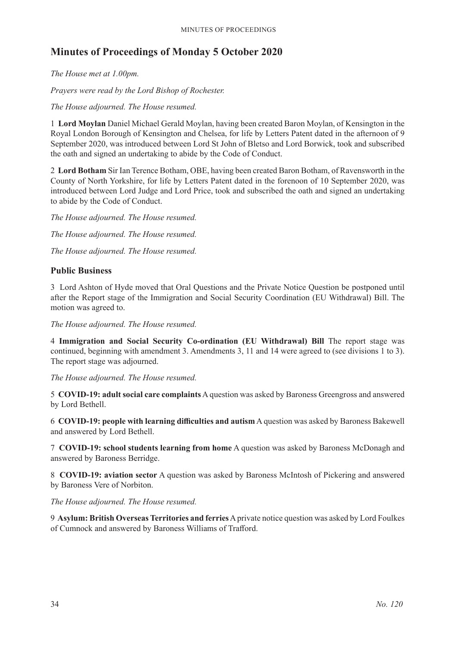# **Minutes of Proceedings of Monday 5 October 2020**

*The House met at 1.00pm.*

*Prayers were read by the Lord Bishop of Rochester.*

*The House adjourned. The House resumed.*

1 **Lord Moylan** Daniel Michael Gerald Moylan, having been created Baron Moylan, of Kensington in the Royal London Borough of Kensington and Chelsea, for life by Letters Patent dated in the afternoon of 9 September 2020, was introduced between Lord St John of Bletso and Lord Borwick, took and subscribed the oath and signed an undertaking to abide by the Code of Conduct.

2 **Lord Botham** Sir Ian Terence Botham, OBE, having been created Baron Botham, of Ravensworth in the County of North Yorkshire, for life by Letters Patent dated in the forenoon of 10 September 2020, was introduced between Lord Judge and Lord Price, took and subscribed the oath and signed an undertaking to abide by the Code of Conduct.

*The House adjourned. The House resumed.*

*The House adjourned. The House resumed.*

*The House adjourned. The House resumed.*

# **Public Business**

3 Lord Ashton of Hyde moved that Oral Questions and the Private Notice Question be postponed until after the Report stage of the Immigration and Social Security Coordination (EU Withdrawal) Bill. The motion was agreed to.

*The House adjourned. The House resumed.*

4 **Immigration and Social Security Co-ordination (EU Withdrawal) Bill** The report stage was continued, beginning with amendment 3. Amendments 3, 11 and 14 were agreed to (see divisions 1 to 3). The report stage was adjourned.

*The House adjourned. The House resumed.*

5 **COVID-19: adult social care complaints** A question was asked by Baroness Greengross and answered by Lord Bethell.

6 **COVID-19: people with learning difficulties and autism** A question was asked by Baroness Bakewell and answered by Lord Bethell.

7 **COVID-19: school students learning from home** A question was asked by Baroness McDonagh and answered by Baroness Berridge.

8 **COVID-19: aviation sector** A question was asked by Baroness McIntosh of Pickering and answered by Baroness Vere of Norbiton.

*The House adjourned. The House resumed.*

9 **Asylum: British Overseas Territories and ferries** A private notice question was asked by Lord Foulkes of Cumnock and answered by Baroness Williams of Trafford.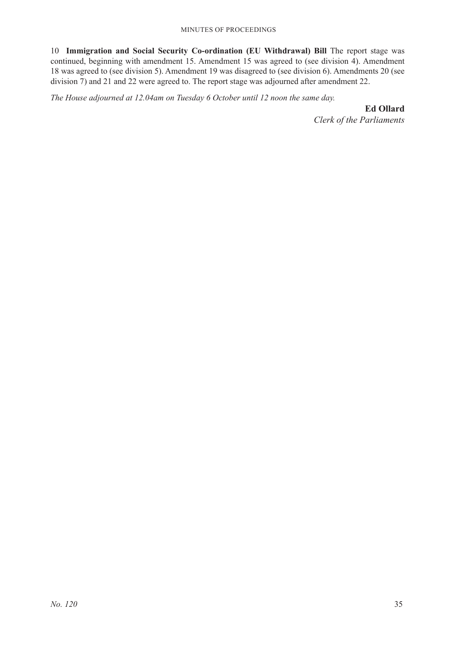10 **Immigration and Social Security Co-ordination (EU Withdrawal) Bill** The report stage was continued, beginning with amendment 15. Amendment 15 was agreed to (see division 4). Amendment 18 was agreed to (see division 5). Amendment 19 was disagreed to (see division 6). Amendments 20 (see division 7) and 21 and 22 were agreed to. The report stage was adjourned after amendment 22.

*The House adjourned at 12.04am on Tuesday 6 October until 12 noon the same day.*

**Ed Ollard**

*Clerk of the Parliaments*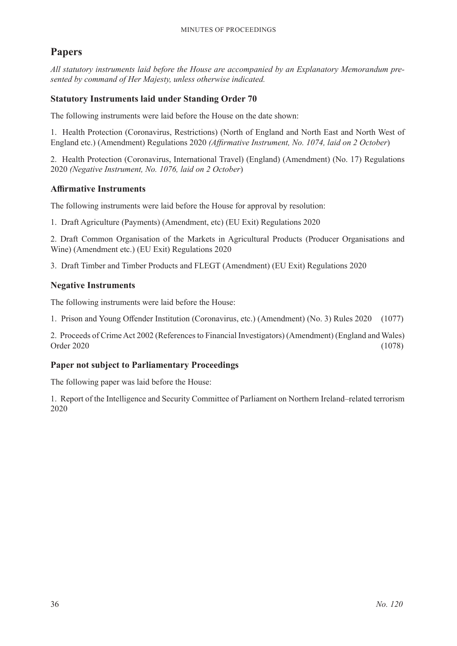# **Papers**

*All statutory instruments laid before the House are accompanied by an Explanatory Memorandum presented by command of Her Majesty, unless otherwise indicated.*

# **Statutory Instruments laid under Standing Order 70**

The following instruments were laid before the House on the date shown:

1. Health Protection (Coronavirus, Restrictions) (North of England and North East and North West of England etc.) (Amendment) Regulations 2020 *(Affirmative Instrument, No. 1074, laid on 2 October*)

2. Health Protection (Coronavirus, International Travel) (England) (Amendment) (No. 17) Regulations 2020 *(Negative Instrument, No. 1076, laid on 2 October*)

# **Affirmative Instruments**

The following instruments were laid before the House for approval by resolution:

1. Draft Agriculture (Payments) (Amendment, etc) (EU Exit) Regulations 2020

2. Draft Common Organisation of the Markets in Agricultural Products (Producer Organisations and Wine) (Amendment etc.) (EU Exit) Regulations 2020

3. Draft Timber and Timber Products and FLEGT (Amendment) (EU Exit) Regulations 2020

# **Negative Instruments**

The following instruments were laid before the House:

1. Prison and Young Offender Institution (Coronavirus, etc.) (Amendment) (No. 3) Rules 2020 (1077)

2. Proceeds of Crime Act 2002 (References to Financial Investigators) (Amendment) (England and Wales) Order 2020 (1078)

# **Paper not subject to Parliamentary Proceedings**

The following paper was laid before the House:

1. Report of the Intelligence and Security Committee of Parliament on Northern Ireland–related terrorism 2020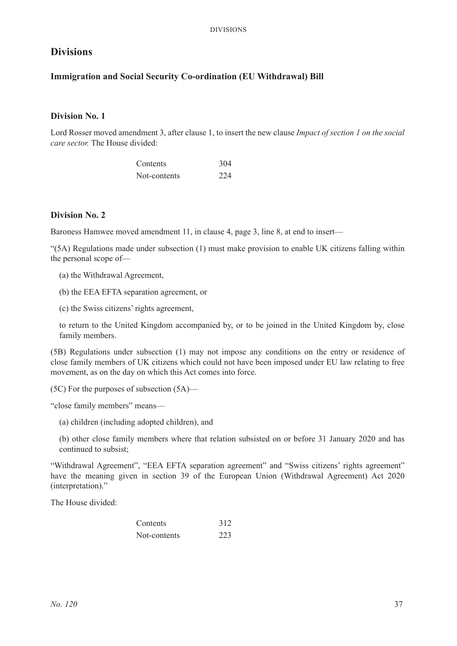# **Divisions**

#### **Immigration and Social Security Co-ordination (EU Withdrawal) Bill**

#### **Division No. 1**

Lord Rosser moved amendment 3, after clause 1, to insert the new clause *Impact of section 1 on the social care sector.* The House divided:

| Contents     | 304 |
|--------------|-----|
| Not-contents | 224 |

#### **Division No. 2**

Baroness Hamwee moved amendment 11, in clause 4, page 3, line 8, at end to insert—

"(5A) Regulations made under subsection (1) must make provision to enable UK citizens falling within the personal scope of—

- (a) the Withdrawal Agreement,
- (b) the EEA EFTA separation agreement, or
- (c) the Swiss citizens' rights agreement,

to return to the United Kingdom accompanied by, or to be joined in the United Kingdom by, close family members.

(5B) Regulations under subsection (1) may not impose any conditions on the entry or residence of close family members of UK citizens which could not have been imposed under EU law relating to free movement, as on the day on which this Act comes into force.

(5C) For the purposes of subsection (5A)—

"close family members" means—

(a) children (including adopted children), and

(b) other close family members where that relation subsisted on or before 31 January 2020 and has continued to subsist;

"Withdrawal Agreement", "EEA EFTA separation agreement" and "Swiss citizens' rights agreement" have the meaning given in section 39 of the European Union (Withdrawal Agreement) Act 2020 (interpretation)."

The House divided:

| Contents     | 312 |
|--------------|-----|
| Not-contents | 223 |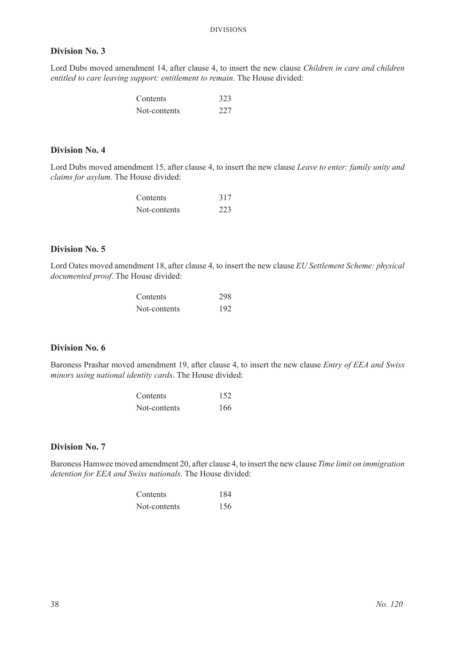#### **Division No. 3**

Lord Dubs moved amendment 14, after clause 4, to insert the new clause *Children in care and children entitled to care leaving support: entitlement to remain*. The House divided:

| Contents     | 323 |
|--------------|-----|
| Not-contents | 227 |

#### **Division No. 4**

Lord Dubs moved amendment 15, after clause 4, to insert the new clause *Leave to enter: family unity and claims for asylum*. The House divided:

| Contents     | 317 |
|--------------|-----|
| Not-contents | 223 |

#### **Division No. 5**

Lord Oates moved amendment 18, after clause 4, to insert the new clause *EU Settlement Scheme: physical documented proof*. The House divided:

| Contents     | 298 |
|--------------|-----|
| Not-contents | 192 |

#### **Division No. 6**

Baroness Prashar moved amendment 19, after clause 4, to insert the new clause *Entry of EEA and Swiss minors using national identity cards*. The House divided:

| Contents     | 152 |
|--------------|-----|
| Not-contents | 166 |

#### **Division No. 7**

Baroness Hamwee moved amendment 20, after clause 4, to insert the new clause *Time limit on immigration detention for EEA and Swiss nationals*. The House divided:

| Contents     | 184 |
|--------------|-----|
| Not-contents | 156 |